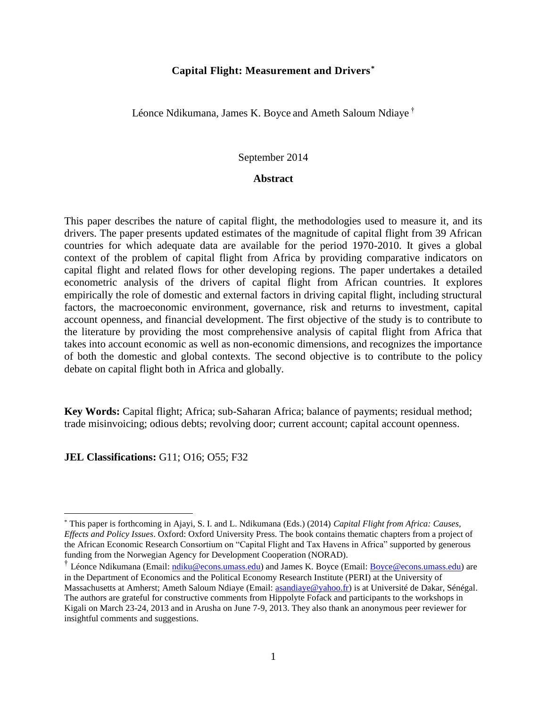# **Capital Flight: Measurement and Drivers\***

Léonce Ndikumana, James K. Boyce and Ameth Saloum Ndiaye †

# September 2014

#### **Abstract**

This paper describes the nature of capital flight, the methodologies used to measure it, and its drivers. The paper presents updated estimates of the magnitude of capital flight from 39 African countries for which adequate data are available for the period 1970-2010. It gives a global context of the problem of capital flight from Africa by providing comparative indicators on capital flight and related flows for other developing regions. The paper undertakes a detailed econometric analysis of the drivers of capital flight from African countries. It explores empirically the role of domestic and external factors in driving capital flight, including structural factors, the macroeconomic environment, governance, risk and returns to investment, capital account openness, and financial development. The first objective of the study is to contribute to the literature by providing the most comprehensive analysis of capital flight from Africa that takes into account economic as well as non-economic dimensions, and recognizes the importance of both the domestic and global contexts. The second objective is to contribute to the policy debate on capital flight both in Africa and globally.

**Key Words:** Capital flight; Africa; sub-Saharan Africa; balance of payments; residual method; trade misinvoicing; odious debts; revolving door; current account; capital account openness.

**JEL Classifications:** G11; O16; O55; F32

 $\overline{a}$ 

<sup>\*</sup> This paper is forthcoming in Ajayi, S. I. and L. Ndikumana (Eds.) (2014) *Capital Flight from Africa: Causes, Effects and Policy Issues*. Oxford: Oxford University Press. The book contains thematic chapters from a project of the African Economic Research Consortium on "Capital Flight and Tax Havens in Africa" supported by generous funding from the Norwegian Agency for Development Cooperation (NORAD).

<sup>&</sup>lt;sup>†</sup> Léonce Ndikumana (Email: *ndiku@econs.umass.edu*) and James K. Boyce (Email: **Boyce@econs.umass.edu**) are in the Department of Economics and the Political Economy Research Institute (PERI) at the University of Massachusetts at Amherst; Ameth Saloum Ndiaye (Email: [asandiaye@yahoo.fr\)](mailto:asandiaye@yahoo.fr) is at Université de Dakar, Sénégal. The authors are grateful for constructive comments from Hippolyte Fofack and participants to the workshops in Kigali on March 23-24, 2013 and in Arusha on June 7-9, 2013. They also thank an anonymous peer reviewer for insightful comments and suggestions.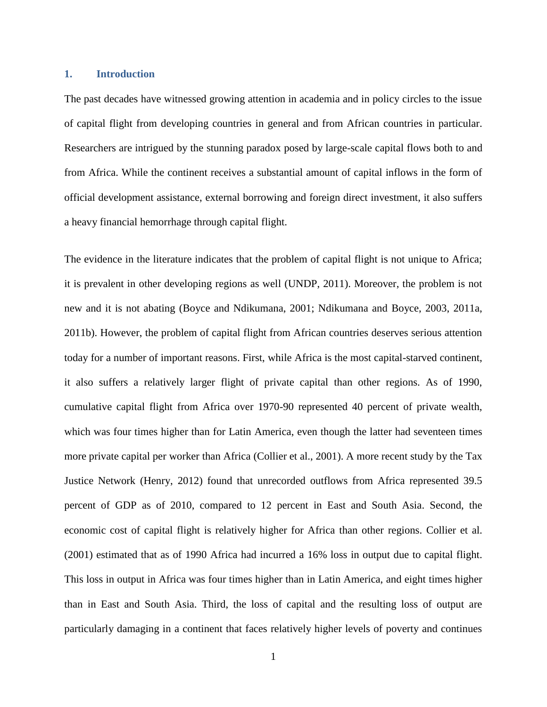# **1. Introduction**

The past decades have witnessed growing attention in academia and in policy circles to the issue of capital flight from developing countries in general and from African countries in particular. Researchers are intrigued by the stunning paradox posed by large-scale capital flows both to and from Africa. While the continent receives a substantial amount of capital inflows in the form of official development assistance, external borrowing and foreign direct investment, it also suffers a heavy financial hemorrhage through capital flight.

The evidence in the literature indicates that the problem of capital flight is not unique to Africa; it is prevalent in other developing regions as well [\(UNDP, 2011\)](#page-42-0). Moreover, the problem is not new and it is not abating [\(Boyce and Ndikumana, 2001;](#page-40-0) [Ndikumana and Boyce, 2003,](#page-42-1) [2011a,](#page-42-2) [2011b\)](#page-42-3). However, the problem of capital flight from African countries deserves serious attention today for a number of important reasons. First, while Africa is the most capital-starved continent, it also suffers a relatively larger flight of private capital than other regions. As of 1990, cumulative capital flight from Africa over 1970-90 represented 40 percent of private wealth, which was four times higher than for Latin America, even though the latter had seventeen times more private capital per worker than Africa [\(Collier et al., 2001\)](#page-40-1). A more recent study by the Tax Justice Network [\(Henry, 2012\)](#page-41-0) found that unrecorded outflows from Africa represented 39.5 percent of GDP as of 2010, compared to 12 percent in East and South Asia. Second, the economic cost of capital flight is relatively higher for Africa than other regions. [Collier et al.](#page-40-1)  [\(2001\)](#page-40-1) estimated that as of 1990 Africa had incurred a 16% loss in output due to capital flight. This loss in output in Africa was four times higher than in Latin America, and eight times higher than in East and South Asia. Third, the loss of capital and the resulting loss of output are particularly damaging in a continent that faces relatively higher levels of poverty and continues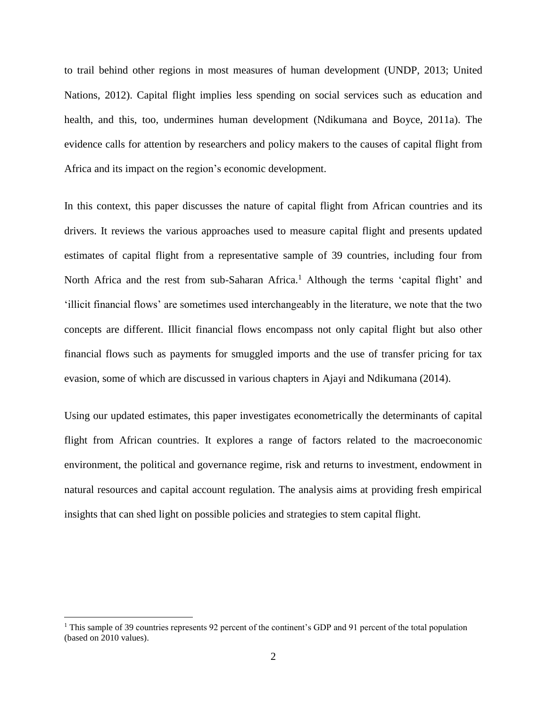to trail behind other regions in most measures of human development [\(UNDP, 2013;](#page-42-4) [United](#page-42-5)  [Nations, 2012\)](#page-42-5). Capital flight implies less spending on social services such as education and health, and this, too, undermines human development [\(Ndikumana and Boyce, 2011a\)](#page-42-2). The evidence calls for attention by researchers and policy makers to the causes of capital flight from Africa and its impact on the region's economic development.

In this context, this paper discusses the nature of capital flight from African countries and its drivers. It reviews the various approaches used to measure capital flight and presents updated estimates of capital flight from a representative sample of 39 countries, including four from North Africa and the rest from sub-Saharan Africa.<sup>1</sup> Although the terms 'capital flight' and 'illicit financial flows' are sometimes used interchangeably in the literature, we note that the two concepts are different. Illicit financial flows encompass not only capital flight but also other financial flows such as payments for smuggled imports and the use of transfer pricing for tax evasion, some of which are discussed in various chapters in [Ajayi and Ndikumana \(2014\)](#page-39-0).

Using our updated estimates, this paper investigates econometrically the determinants of capital flight from African countries. It explores a range of factors related to the macroeconomic environment, the political and governance regime, risk and returns to investment, endowment in natural resources and capital account regulation. The analysis aims at providing fresh empirical insights that can shed light on possible policies and strategies to stem capital flight.

 $\overline{a}$ 

<sup>&</sup>lt;sup>1</sup> This sample of 39 countries represents 92 percent of the continent's GDP and 91 percent of the total population (based on 2010 values).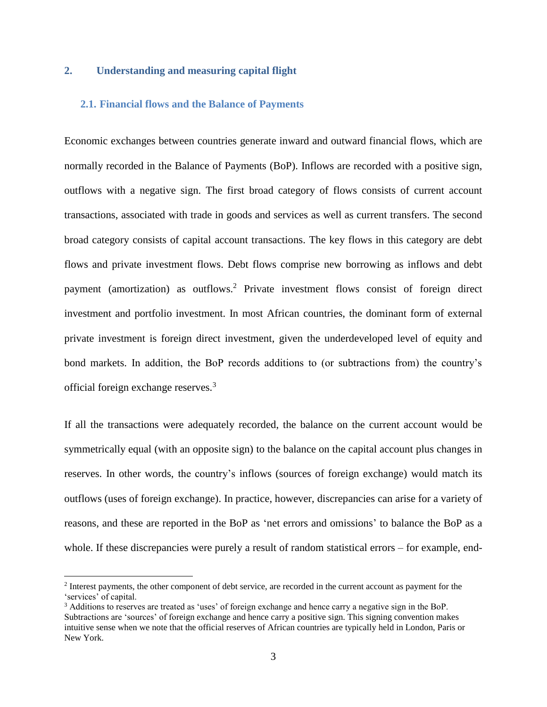## **2. Understanding and measuring capital flight**

#### **2.1. Financial flows and the Balance of Payments**

Economic exchanges between countries generate inward and outward financial flows, which are normally recorded in the Balance of Payments (BoP). Inflows are recorded with a positive sign, outflows with a negative sign. The first broad category of flows consists of current account transactions, associated with trade in goods and services as well as current transfers. The second broad category consists of capital account transactions. The key flows in this category are debt flows and private investment flows. Debt flows comprise new borrowing as inflows and debt payment (amortization) as outflows.<sup>2</sup> Private investment flows consist of foreign direct investment and portfolio investment. In most African countries, the dominant form of external private investment is foreign direct investment, given the underdeveloped level of equity and bond markets. In addition, the BoP records additions to (or subtractions from) the country's official foreign exchange reserves.<sup>3</sup>

If all the transactions were adequately recorded, the balance on the current account would be symmetrically equal (with an opposite sign) to the balance on the capital account plus changes in reserves. In other words, the country's inflows (sources of foreign exchange) would match its outflows (uses of foreign exchange). In practice, however, discrepancies can arise for a variety of reasons, and these are reported in the BoP as 'net errors and omissions' to balance the BoP as a whole. If these discrepancies were purely a result of random statistical errors – for example, end-

 $\overline{a}$ 

<sup>&</sup>lt;sup>2</sup> Interest payments, the other component of debt service, are recorded in the current account as payment for the 'services' of capital.

<sup>&</sup>lt;sup>3</sup> Additions to reserves are treated as 'uses' of foreign exchange and hence carry a negative sign in the BoP. Subtractions are 'sources' of foreign exchange and hence carry a positive sign. This signing convention makes intuitive sense when we note that the official reserves of African countries are typically held in London, Paris or New York.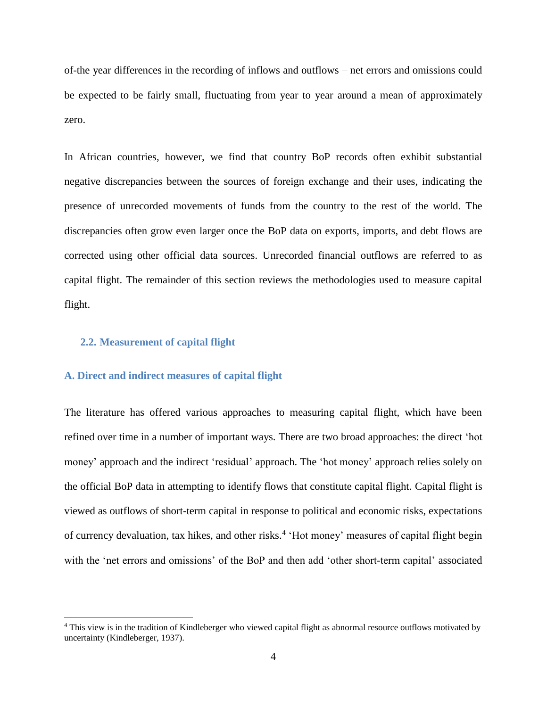of-the year differences in the recording of inflows and outflows – net errors and omissions could be expected to be fairly small, fluctuating from year to year around a mean of approximately zero.

In African countries, however, we find that country BoP records often exhibit substantial negative discrepancies between the sources of foreign exchange and their uses, indicating the presence of unrecorded movements of funds from the country to the rest of the world. The discrepancies often grow even larger once the BoP data on exports, imports, and debt flows are corrected using other official data sources. Unrecorded financial outflows are referred to as capital flight. The remainder of this section reviews the methodologies used to measure capital flight.

### **2.2. Measurement of capital flight**

 $\overline{a}$ 

### **A. Direct and indirect measures of capital flight**

The literature has offered various approaches to measuring capital flight, which have been refined over time in a number of important ways. There are two broad approaches: the direct 'hot money' approach and the indirect 'residual' approach. The 'hot money' approach relies solely on the official BoP data in attempting to identify flows that constitute capital flight. Capital flight is viewed as outflows of short-term capital in response to political and economic risks, expectations of currency devaluation, tax hikes, and other risks.<sup>4</sup> 'Hot money' measures of capital flight begin with the 'net errors and omissions' of the BoP and then add 'other short-term capital' associated

<sup>4</sup> This view is in the tradition of Kindleberger who viewed capital flight as abnormal resource outflows motivated by uncertainty [\(Kindleberger, 1937\)](#page-41-1).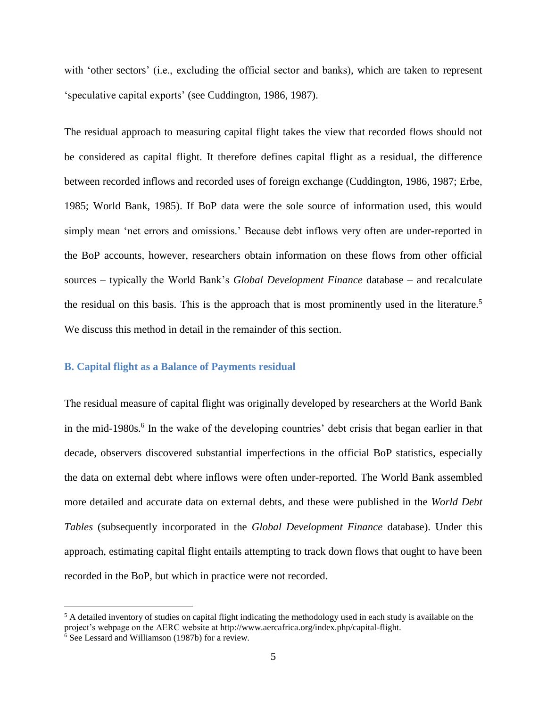with 'other sectors' (i.e., excluding the official sector and banks), which are taken to represent 'speculative capital exports' (see [Cuddington, 1986,](#page-40-2) [1987\)](#page-40-3).

The residual approach to measuring capital flight takes the view that recorded flows should not be considered as capital flight. It therefore defines capital flight as a residual, the difference between recorded inflows and recorded uses of foreign exchange [\(Cuddington, 1986,](#page-40-2) [1987;](#page-40-3) [Erbe,](#page-41-2)  [1985;](#page-41-2) [World Bank, 1985\)](#page-42-6). If BoP data were the sole source of information used, this would simply mean 'net errors and omissions.' Because debt inflows very often are under-reported in the BoP accounts, however, researchers obtain information on these flows from other official sources – typically the World Bank's *Global Development Finance* database – and recalculate the residual on this basis. This is the approach that is most prominently used in the literature.<sup>5</sup> We discuss this method in detail in the remainder of this section.

#### **B. Capital flight as a Balance of Payments residual**

The residual measure of capital flight was originally developed by researchers at the World Bank in the mid-1980s.<sup>6</sup> In the wake of the developing countries' debt crisis that began earlier in that decade, observers discovered substantial imperfections in the official BoP statistics, especially the data on external debt where inflows were often under-reported. The World Bank assembled more detailed and accurate data on external debts, and these were published in the *World Debt Tables* (subsequently incorporated in the *Global Development Finance* database). Under this approach, estimating capital flight entails attempting to track down flows that ought to have been recorded in the BoP, but which in practice were not recorded.

 $\overline{a}$ 

 $5$  A detailed inventory of studies on capital flight indicating the methodology used in each study is available on the project's webpage on the AERC website at http://www.aercafrica.org/index.php/capital-flight.

<sup>6</sup> Se[e Lessard and Williamson \(1987b\)](#page-41-3) for a review.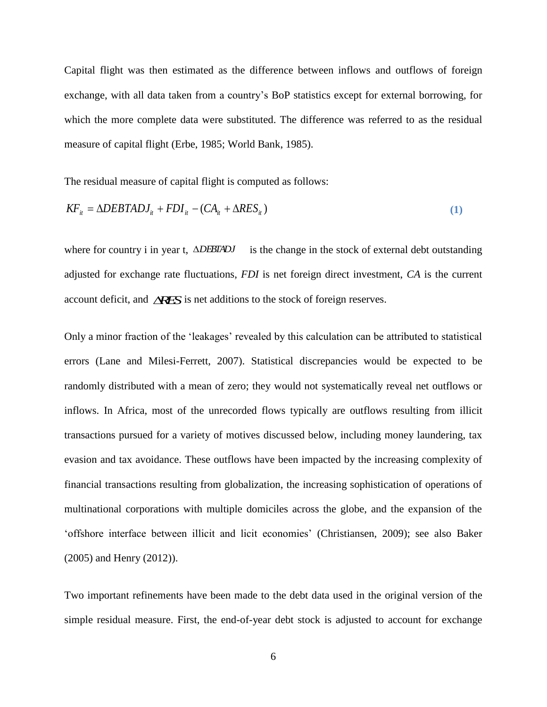Capital flight was then estimated as the difference between inflows and outflows of foreign exchange, with all data taken from a country's BoP statistics except for external borrowing, for which the more complete data were substituted. The difference was referred to as the residual measure of capital flight [\(Erbe, 1985;](#page-41-2) [World Bank, 1985\)](#page-42-6).

The residual measure of capital flight is computed as follows:

$$
KF_{it} = \Delta DEBTADJ_{it} + FDI_{it} - (CA_{it} + \Delta RES_{it})
$$
\n(1)

where for country i in year t,  $\triangle$ *DEBTADJ* is the change in the stock of external debt outstanding adjusted for exchange rate fluctuations, *FDI* is net foreign direct investment, *CA* is the current account deficit, and *RES* is net additions to the stock of foreign reserves.

Only a minor fraction of the 'leakages' revealed by this calculation can be attributed to statistical errors [\(Lane and Milesi-Ferrett, 2007\)](#page-41-4). Statistical discrepancies would be expected to be randomly distributed with a mean of zero; they would not systematically reveal net outflows or inflows. In Africa, most of the unrecorded flows typically are outflows resulting from illicit transactions pursued for a variety of motives discussed below, including money laundering, tax evasion and tax avoidance. These outflows have been impacted by the increasing complexity of financial transactions resulting from globalization, the increasing sophistication of operations of multinational corporations with multiple domiciles across the globe, and the expansion of the 'offshore interface between illicit and licit economies' [\(Christiansen, 2009\)](#page-40-4); see also [Baker](#page-39-1)  [\(2005\)](#page-39-1) and [Henry \(2012\)](#page-41-0)).

Two important refinements have been made to the debt data used in the original version of the simple residual measure. First, the end-of-year debt stock is adjusted to account for exchange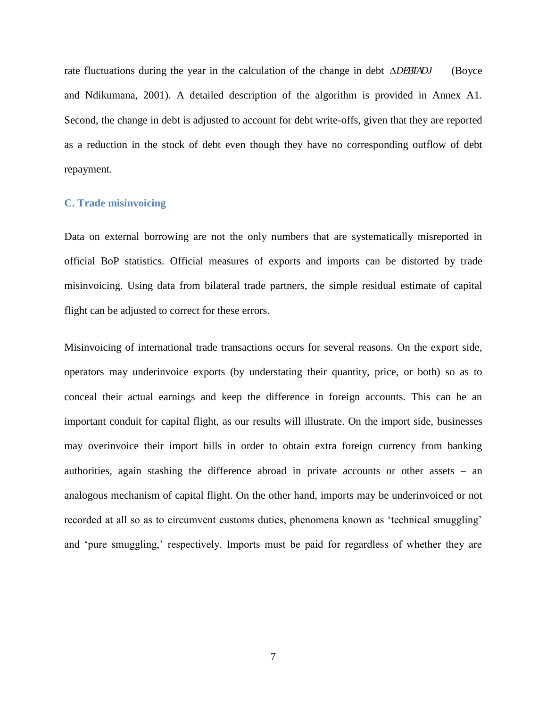rate fluctuations during the year in the calculation of the change in debt *DEBTADJ* [\(Boyce](#page-40-0)  [and Ndikumana, 2001\)](#page-40-0). A detailed description of the algorithm is provided in Annex A1. Second, the change in debt is adjusted to account for debt write-offs, given that they are reported as a reduction in the stock of debt even though they have no corresponding outflow of debt repayment.

# **C. Trade misinvoicing**

Data on external borrowing are not the only numbers that are systematically misreported in official BoP statistics. Official measures of exports and imports can be distorted by trade misinvoicing. Using data from bilateral trade partners, the simple residual estimate of capital flight can be adjusted to correct for these errors.

Misinvoicing of international trade transactions occurs for several reasons. On the export side, operators may underinvoice exports (by understating their quantity, price, or both) so as to conceal their actual earnings and keep the difference in foreign accounts. This can be an important conduit for capital flight, as our results will illustrate. On the import side, businesses may overinvoice their import bills in order to obtain extra foreign currency from banking authorities, again stashing the difference abroad in private accounts or other assets – an analogous mechanism of capital flight. On the other hand, imports may be underinvoiced or not recorded at all so as to circumvent customs duties, phenomena known as 'technical smuggling' and 'pure smuggling,' respectively. Imports must be paid for regardless of whether they are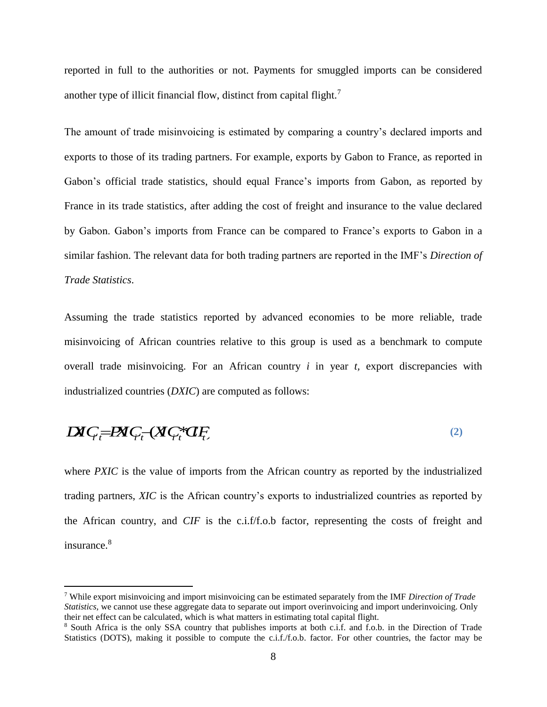reported in full to the authorities or not. Payments for smuggled imports can be considered another type of illicit financial flow, distinct from capital flight.<sup>7</sup>

The amount of trade misinvoicing is estimated by comparing a country's declared imports and exports to those of its trading partners. For example, exports by Gabon to France, as reported in Gabon's official trade statistics, should equal France's imports from Gabon, as reported by France in its trade statistics, after adding the cost of freight and insurance to the value declared by Gabon. Gabon's imports from France can be compared to France's exports to Gabon in a similar fashion. The relevant data for both trading partners are reported in the IMF's *Direction of Trade Statistics*.

Assuming the trade statistics reported by advanced economies to be more reliable, trade misinvoicing of African countries relative to this group is used as a benchmark to compute overall trade misinvoicing. For an African country *i* in year *t,* export discrepancies with industrialized countries (*DXIC*) are computed as follows:

 $\mathbf{D} \mathbf{X} \mathbf{C}_t = \mathbf{P} \mathbf{X} \mathbf{C}_t - (\mathbf{X} \mathbf{C}_t^* \mathbf{C} \mathbf{I}_t^T)$ **(2)**

where *PXIC* is the value of imports from the African country as reported by the industrialized trading partners, *XIC* is the African country's exports to industrialized countries as reported by the African country, and *CIF* is the c.i.f/f.o.b factor, representing the costs of freight and insurance.<sup>8</sup>

 $\overline{a}$ 

<sup>7</sup> While export misinvoicing and import misinvoicing can be estimated separately from the IMF *Direction of Trade Statistics,* we cannot use these aggregate data to separate out import overinvoicing and import underinvoicing. Only their net effect can be calculated, which is what matters in estimating total capital flight.

<sup>8</sup> South Africa is the only SSA country that publishes imports at both c.i.f. and f.o.b. in the Direction of Trade Statistics (DOTS), making it possible to compute the c.i.f./f.o.b. factor. For other countries, the factor may be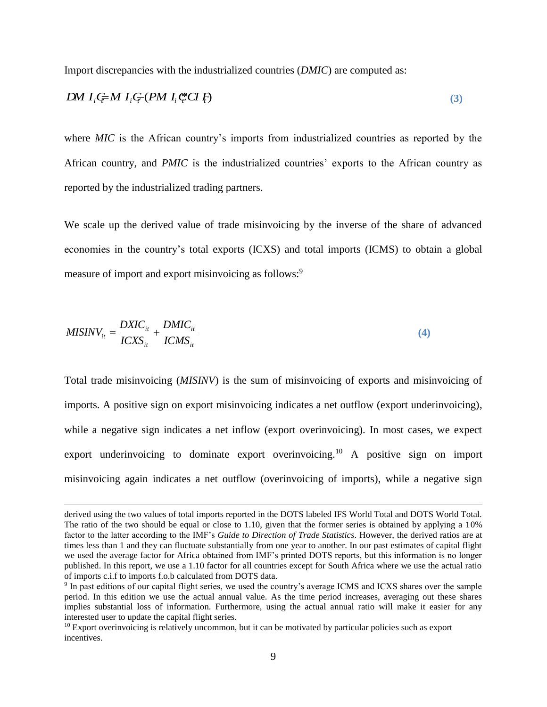Import discrepancies with the industrialized countries (*DMIC*) are computed as:

$$
DM I_i \not\subset M I_i \not\subset (PM I_i \not\subset T) \tag{3}
$$

where *MIC* is the African country's imports from industrialized countries as reported by the African country, and *PMIC* is the industrialized countries' exports to the African country as reported by the industrialized trading partners.

We scale up the derived value of trade misinvoicing by the inverse of the share of advanced economies in the country's total exports (ICXS) and total imports (ICMS) to obtain a global measure of import and export misinvoicing as follows:<sup>9</sup>

$$
MISINV_{it} = \frac{DXIC_{it}}{ICXS_{it}} + \frac{DMIC_{it}}{ICMS_{it}} \tag{4}
$$

 $\overline{a}$ 

Total trade misinvoicing (*MISINV*) is the sum of misinvoicing of exports and misinvoicing of imports. A positive sign on export misinvoicing indicates a net outflow (export underinvoicing), while a negative sign indicates a net inflow (export overinvoicing). In most cases, we expect export underinvoicing to dominate export overinvoicing.<sup>10</sup> A positive sign on import misinvoicing again indicates a net outflow (overinvoicing of imports), while a negative sign

derived using the two values of total imports reported in the DOTS labeled IFS World Total and DOTS World Total. The ratio of the two should be equal or close to 1.10, given that the former series is obtained by applying a 10% factor to the latter according to the IMF's *Guide to Direction of Trade Statistics*. However, the derived ratios are at times less than 1 and they can fluctuate substantially from one year to another. In our past estimates of capital flight we used the average factor for Africa obtained from IMF's printed DOTS reports, but this information is no longer published. In this report, we use a 1.10 factor for all countries except for South Africa where we use the actual ratio of imports c.i.f to imports f.o.b calculated from DOTS data.

<sup>9</sup> In past editions of our capital flight series, we used the country's average ICMS and ICXS shares over the sample period. In this edition we use the actual annual value. As the time period increases, averaging out these shares implies substantial loss of information. Furthermore, using the actual annual ratio will make it easier for any interested user to update the capital flight series.

 $10$  Export overinvoicing is relatively uncommon, but it can be motivated by particular policies such as export incentives.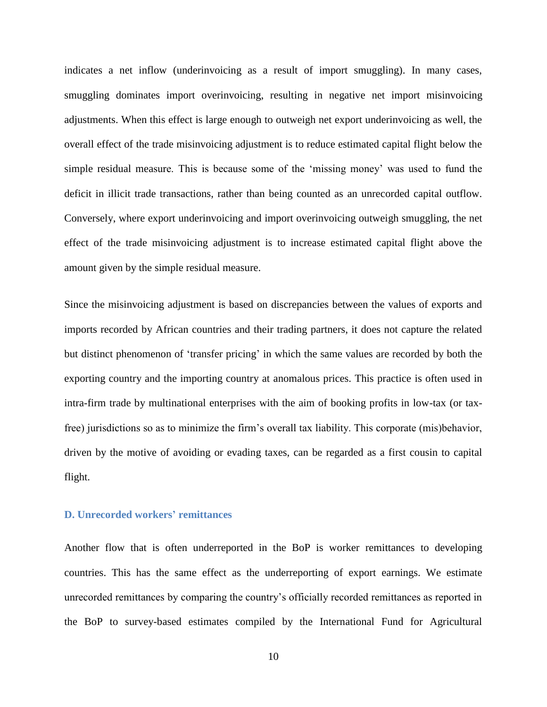indicates a net inflow (underinvoicing as a result of import smuggling). In many cases, smuggling dominates import overinvoicing, resulting in negative net import misinvoicing adjustments. When this effect is large enough to outweigh net export underinvoicing as well, the overall effect of the trade misinvoicing adjustment is to reduce estimated capital flight below the simple residual measure. This is because some of the 'missing money' was used to fund the deficit in illicit trade transactions, rather than being counted as an unrecorded capital outflow. Conversely, where export underinvoicing and import overinvoicing outweigh smuggling, the net effect of the trade misinvoicing adjustment is to increase estimated capital flight above the amount given by the simple residual measure.

Since the misinvoicing adjustment is based on discrepancies between the values of exports and imports recorded by African countries and their trading partners, it does not capture the related but distinct phenomenon of 'transfer pricing' in which the same values are recorded by both the exporting country and the importing country at anomalous prices. This practice is often used in intra-firm trade by multinational enterprises with the aim of booking profits in low-tax (or taxfree) jurisdictions so as to minimize the firm's overall tax liability. This corporate (mis)behavior, driven by the motive of avoiding or evading taxes, can be regarded as a first cousin to capital flight.

# **D. Unrecorded workers' remittances**

Another flow that is often underreported in the BoP is worker remittances to developing countries. This has the same effect as the underreporting of export earnings. We estimate unrecorded remittances by comparing the country's officially recorded remittances as reported in the BoP to survey-based estimates compiled by the International Fund for Agricultural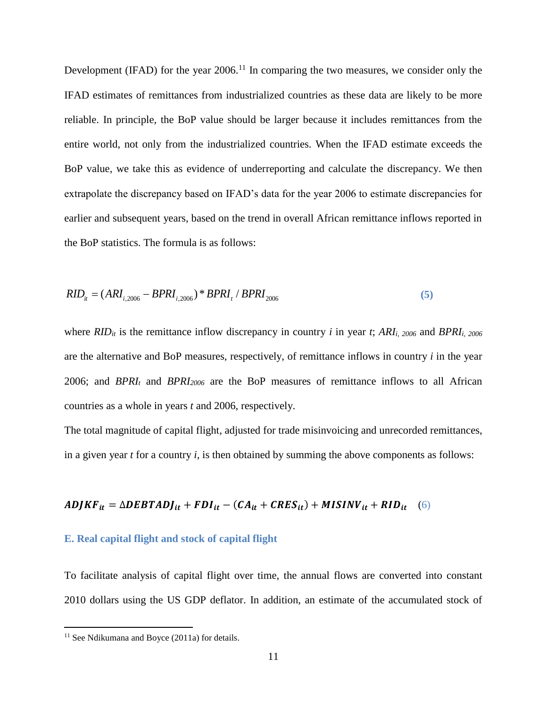Development (IFAD) for the year  $2006$ .<sup>11</sup> In comparing the two measures, we consider only the IFAD estimates of remittances from industrialized countries as these data are likely to be more reliable. In principle, the BoP value should be larger because it includes remittances from the entire world, not only from the industrialized countries. When the IFAD estimate exceeds the BoP value, we take this as evidence of underreporting and calculate the discrepancy. We then extrapolate the discrepancy based on IFAD's data for the year 2006 to estimate discrepancies for earlier and subsequent years, based on the trend in overall African remittance inflows reported in the BoP statistics. The formula is as follows:

$$
RID_{it} = (ARI_{i,2006} - BPRI_{i,2006}) * BPRI_t / BPRI_{2006}
$$
\n
$$
\tag{5}
$$

where *RIDit* is the remittance inflow discrepancy in country *i* in year *t*; *ARIi, 2006* and *BPRIi, 2006* are the alternative and BoP measures, respectively, of remittance inflows in country *i* in the year 2006; and *BPRI<sup>t</sup>* and *BPRI<sup>2006</sup>* are the BoP measures of remittance inflows to all African countries as a whole in years *t* and 2006, respectively.

The total magnitude of capital flight, adjusted for trade misinvoicing and unrecorded remittances, in a given year *t* for a country *i*, is then obtained by summing the above components as follows:

 $ADJKF_{it} = \Delta DEBTADJ_{it} + FDI_{it} - (CA_{it} + CRES_{it}) + MISINV_{it} + RID_{it}$  (6)

#### **E. Real capital flight and stock of capital flight**

To facilitate analysis of capital flight over time, the annual flows are converted into constant 2010 dollars using the US GDP deflator. In addition, an estimate of the accumulated stock of

 $\overline{a}$ 

 $11$  See Ndikumana and Boyce (2011a) for details.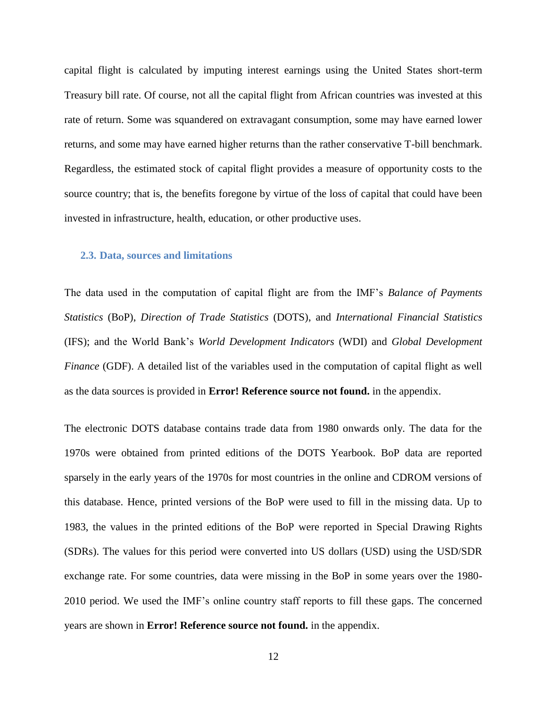capital flight is calculated by imputing interest earnings using the United States short-term Treasury bill rate. Of course, not all the capital flight from African countries was invested at this rate of return. Some was squandered on extravagant consumption, some may have earned lower returns, and some may have earned higher returns than the rather conservative T-bill benchmark. Regardless, the estimated stock of capital flight provides a measure of opportunity costs to the source country; that is, the benefits foregone by virtue of the loss of capital that could have been invested in infrastructure, health, education, or other productive uses.

#### **2.3. Data, sources and limitations**

The data used in the computation of capital flight are from the IMF's *Balance of Payments Statistics* (BoP), *Direction of Trade Statistics* (DOTS), and *International Financial Statistics* (IFS); and the World Bank's *World Development Indicators* (WDI) and *Global Development Finance* (GDF). A detailed list of the variables used in the computation of capital flight as well as the data sources is provided in **Error! Reference source not found.** in the appendix.

The electronic DOTS database contains trade data from 1980 onwards only. The data for the 1970s were obtained from printed editions of the DOTS Yearbook. BoP data are reported sparsely in the early years of the 1970s for most countries in the online and CDROM versions of this database. Hence, printed versions of the BoP were used to fill in the missing data. Up to 1983, the values in the printed editions of the BoP were reported in Special Drawing Rights (SDRs). The values for this period were converted into US dollars (USD) using the USD/SDR exchange rate. For some countries, data were missing in the BoP in some years over the 1980- 2010 period. We used the IMF's online country staff reports to fill these gaps. The concerned years are shown in **Error! Reference source not found.** in the appendix.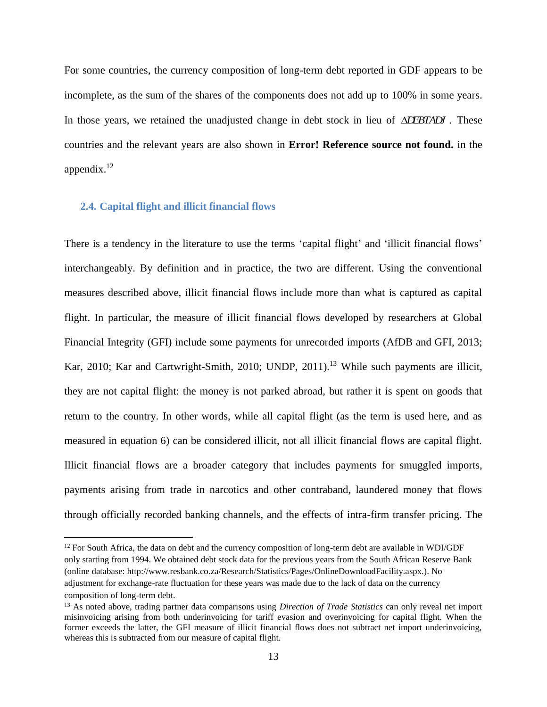For some countries, the currency composition of long-term debt reported in GDF appears to be incomplete, as the sum of the shares of the components does not add up to 100% in some years. In those years, we retained the unadjusted change in debt stock in lieu of *NDEBTADJ*. These countries and the relevant years are also shown in **Error! Reference source not found.** in the appendix. $^{12}$ 

# **2.4. Capital flight and illicit financial flows**

 $\overline{a}$ 

There is a tendency in the literature to use the terms 'capital flight' and 'illicit financial flows' interchangeably. By definition and in practice, the two are different. Using the conventional measures described above, illicit financial flows include more than what is captured as capital flight. In particular, the measure of illicit financial flows developed by researchers at Global Financial Integrity (GFI) include some payments for unrecorded imports [\(AfDB and GFI, 2013;](#page-39-2) [Kar, 2010;](#page-41-5) [Kar and Cartwright-Smith, 2010;](#page-41-6) [UNDP, 2011\)](#page-42-0). <sup>13</sup> While such payments are illicit, they are not capital flight: the money is not parked abroad, but rather it is spent on goods that return to the country. In other words, while all capital flight (as the term is used here, and as measured in equation 6) can be considered illicit, not all illicit financial flows are capital flight. Illicit financial flows are a broader category that includes payments for smuggled imports, payments arising from trade in narcotics and other contraband, laundered money that flows through officially recorded banking channels, and the effects of intra-firm transfer pricing. The

 $12$  For South Africa, the data on debt and the currency composition of long-term debt are available in WDI/GDF only starting from 1994. We obtained debt stock data for the previous years from the South African Reserve Bank (online database: http://www.resbank.co.za/Research/Statistics/Pages/OnlineDownloadFacility.aspx.). No adjustment for exchange-rate fluctuation for these years was made due to the lack of data on the currency composition of long-term debt.

<sup>&</sup>lt;sup>13</sup> As noted above, trading partner data comparisons using *Direction of Trade Statistics* can only reveal net import misinvoicing arising from both underinvoicing for tariff evasion and overinvoicing for capital flight. When the former exceeds the latter, the GFI measure of illicit financial flows does not subtract net import underinvoicing, whereas this is subtracted from our measure of capital flight.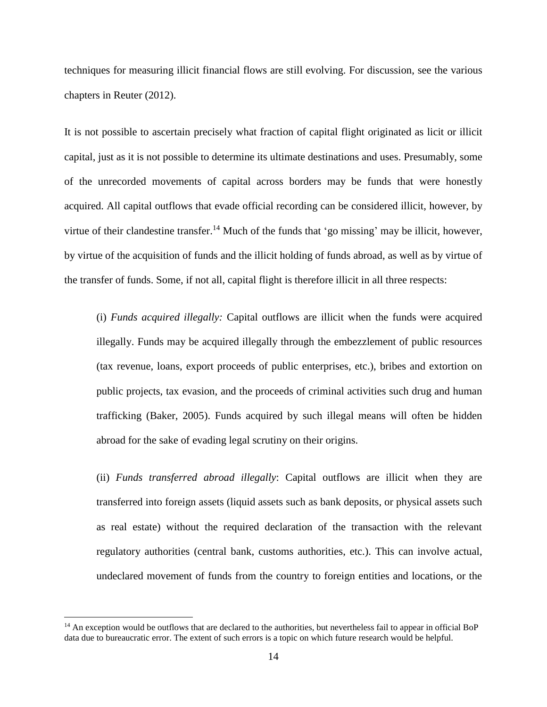techniques for measuring illicit financial flows are still evolving. For discussion, see the various chapters in [Reuter \(2012\)](#page-42-7).

It is not possible to ascertain precisely what fraction of capital flight originated as licit or illicit capital, just as it is not possible to determine its ultimate destinations and uses. Presumably, some of the unrecorded movements of capital across borders may be funds that were honestly acquired. All capital outflows that evade official recording can be considered illicit, however, by virtue of their clandestine transfer.<sup>14</sup> Much of the funds that 'go missing' may be illicit, however, by virtue of the acquisition of funds and the illicit holding of funds abroad, as well as by virtue of the transfer of funds. Some, if not all, capital flight is therefore illicit in all three respects:

(i) *Funds acquired illegally:* Capital outflows are illicit when the funds were acquired illegally. Funds may be acquired illegally through the embezzlement of public resources (tax revenue, loans, export proceeds of public enterprises, etc.), bribes and extortion on public projects, tax evasion, and the proceeds of criminal activities such drug and human trafficking [\(Baker, 2005\)](#page-39-1). Funds acquired by such illegal means will often be hidden abroad for the sake of evading legal scrutiny on their origins.

(ii) *Funds transferred abroad illegally*: Capital outflows are illicit when they are transferred into foreign assets (liquid assets such as bank deposits, or physical assets such as real estate) without the required declaration of the transaction with the relevant regulatory authorities (central bank, customs authorities, etc.). This can involve actual, undeclared movement of funds from the country to foreign entities and locations, or the

 $\overline{a}$ 

 $14$  An exception would be outflows that are declared to the authorities, but nevertheless fail to appear in official BoP data due to bureaucratic error. The extent of such errors is a topic on which future research would be helpful.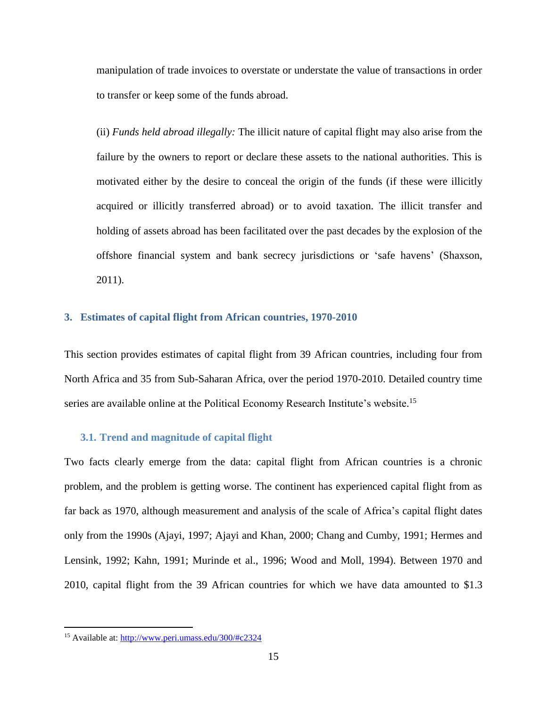manipulation of trade invoices to overstate or understate the value of transactions in order to transfer or keep some of the funds abroad.

(ii) *Funds held abroad illegally:* The illicit nature of capital flight may also arise from the failure by the owners to report or declare these assets to the national authorities. This is motivated either by the desire to conceal the origin of the funds (if these were illicitly acquired or illicitly transferred abroad) or to avoid taxation. The illicit transfer and holding of assets abroad has been facilitated over the past decades by the explosion of the offshore financial system and bank secrecy jurisdictions or 'safe havens' [\(Shaxson,](#page-42-8)  [2011\)](#page-42-8).

# **3. Estimates of capital flight from African countries, 1970-2010**

This section provides estimates of capital flight from 39 African countries, including four from North Africa and 35 from Sub-Saharan Africa, over the period 1970-2010. Detailed country time series are available online at the Political Economy Research Institute's website.<sup>15</sup>

#### **3.1. Trend and magnitude of capital flight**

Two facts clearly emerge from the data: capital flight from African countries is a chronic problem, and the problem is getting worse. The continent has experienced capital flight from as far back as 1970, although measurement and analysis of the scale of Africa's capital flight dates only from the 1990s [\(Ajayi, 1997;](#page-39-3) [Ajayi and Khan, 2000;](#page-39-4) [Chang and Cumby, 1991;](#page-40-5) [Hermes and](#page-41-7)  [Lensink, 1992;](#page-41-7) [Kahn, 1991;](#page-41-8) [Murinde et al., 1996;](#page-41-9) [Wood and Moll, 1994\)](#page-42-9). Between 1970 and 2010, capital flight from the 39 African countries for which we have data amounted to \$1.3

 $\overline{a}$ 

<sup>15</sup> Available at:<http://www.peri.umass.edu/300/#c2324>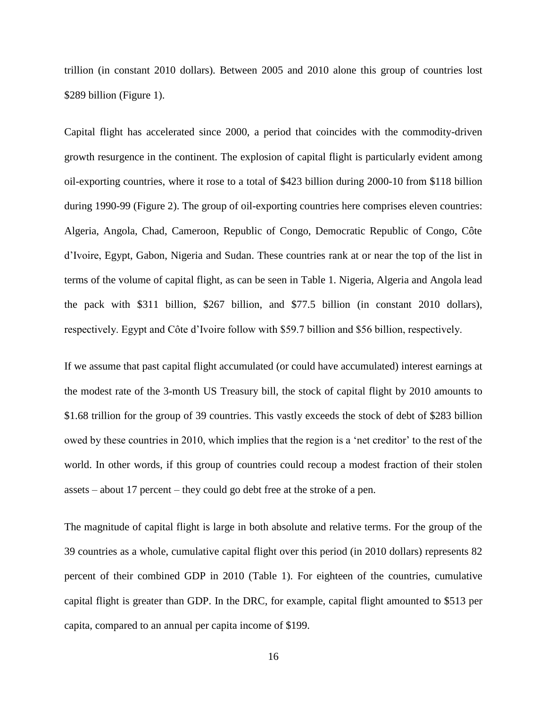trillion (in constant 2010 dollars). Between 2005 and 2010 alone this group of countries lost \$289 billion [\(Figure 1\)](#page-55-0).

Capital flight has accelerated since 2000, a period that coincides with the commodity-driven growth resurgence in the continent. The explosion of capital flight is particularly evident among oil-exporting countries, where it rose to a total of \$423 billion during 2000-10 from \$118 billion during 1990-99 (Figure 2). The group of oil-exporting countries here comprises eleven countries: Algeria, Angola, Chad, Cameroon, Republic of Congo, Democratic Republic of Congo, Côte d'Ivoire, Egypt, Gabon, Nigeria and Sudan. These countries rank at or near the top of the list in terms of the volume of capital flight, as can be seen in Table 1. Nigeria, Algeria and Angola lead the pack with \$311 billion, \$267 billion, and \$77.5 billion (in constant 2010 dollars), respectively. Egypt and Côte d'Ivoire follow with \$59.7 billion and \$56 billion, respectively.

If we assume that past capital flight accumulated (or could have accumulated) interest earnings at the modest rate of the 3-month US Treasury bill, the stock of capital flight by 2010 amounts to \$1.68 trillion for the group of 39 countries. This vastly exceeds the stock of debt of \$283 billion owed by these countries in 2010, which implies that the region is a 'net creditor' to the rest of the world. In other words, if this group of countries could recoup a modest fraction of their stolen assets – about 17 percent – they could go debt free at the stroke of a pen.

The magnitude of capital flight is large in both absolute and relative terms. For the group of the 39 countries as a whole, cumulative capital flight over this period (in 2010 dollars) represents 82 percent of their combined GDP in 2010 (Table 1). For eighteen of the countries, cumulative capital flight is greater than GDP. In the DRC, for example, capital flight amounted to \$513 per capita, compared to an annual per capita income of \$199.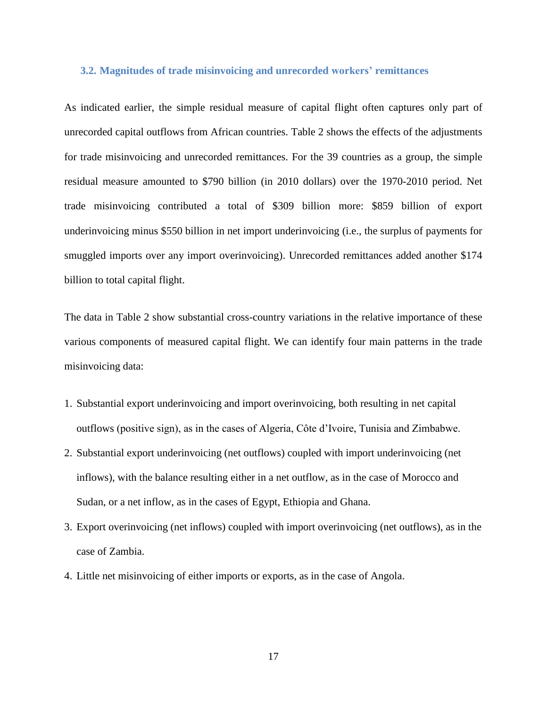#### **3.2. Magnitudes of trade misinvoicing and unrecorded workers' remittances**

As indicated earlier, the simple residual measure of capital flight often captures only part of unrecorded capital outflows from African countries. [Table 2](#page-45-0) shows the effects of the adjustments for trade misinvoicing and unrecorded remittances. For the 39 countries as a group, the simple residual measure amounted to \$790 billion (in 2010 dollars) over the 1970-2010 period. Net trade misinvoicing contributed a total of \$309 billion more: \$859 billion of export underinvoicing minus \$550 billion in net import underinvoicing (i.e., the surplus of payments for smuggled imports over any import overinvoicing). Unrecorded remittances added another \$174 billion to total capital flight.

The data in [Table 2](#page-45-0) show substantial cross-country variations in the relative importance of these various components of measured capital flight. We can identify four main patterns in the trade misinvoicing data:

- 1. Substantial export underinvoicing and import overinvoicing, both resulting in net capital outflows (positive sign), as in the cases of Algeria, Côte d'Ivoire, Tunisia and Zimbabwe.
- 2. Substantial export underinvoicing (net outflows) coupled with import underinvoicing (net inflows), with the balance resulting either in a net outflow, as in the case of Morocco and Sudan, or a net inflow, as in the cases of Egypt, Ethiopia and Ghana.
- 3. Export overinvoicing (net inflows) coupled with import overinvoicing (net outflows), as in the case of Zambia.
- 4. Little net misinvoicing of either imports or exports, as in the case of Angola.

17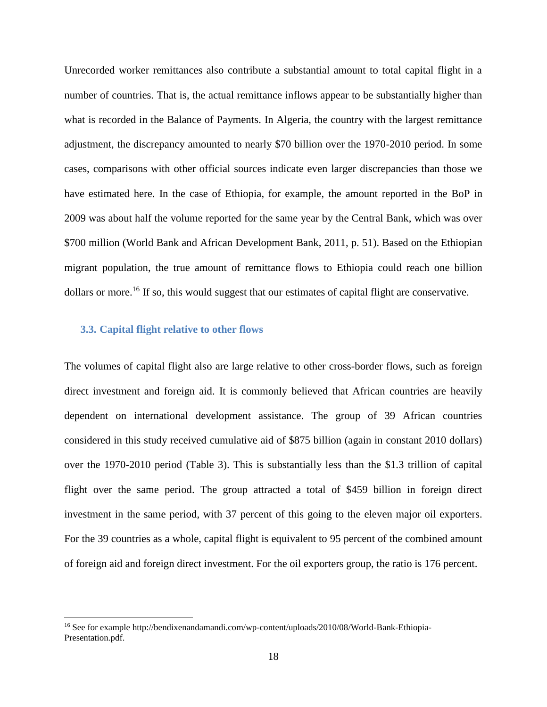Unrecorded worker remittances also contribute a substantial amount to total capital flight in a number of countries. That is, the actual remittance inflows appear to be substantially higher than what is recorded in the Balance of Payments. In Algeria, the country with the largest remittance adjustment, the discrepancy amounted to nearly \$70 billion over the 1970-2010 period. In some cases, comparisons with other official sources indicate even larger discrepancies than those we have estimated here. In the case of Ethiopia, for example, the amount reported in the BoP in 2009 was about half the volume reported for the same year by the Central Bank, which was over \$700 million [\(World Bank and African Development Bank, 2011, p. 51\)](#page-42-10). Based on the Ethiopian migrant population, the true amount of remittance flows to Ethiopia could reach one billion dollars or more.<sup>16</sup> If so, this would suggest that our estimates of capital flight are conservative.

### **3.3. Capital flight relative to other flows**

 $\overline{a}$ 

The volumes of capital flight also are large relative to other cross-border flows, such as foreign direct investment and foreign aid. It is commonly believed that African countries are heavily dependent on international development assistance. The group of 39 African countries considered in this study received cumulative aid of \$875 billion (again in constant 2010 dollars) over the 1970-2010 period (Table 3). This is substantially less than the \$1.3 trillion of capital flight over the same period. The group attracted a total of \$459 billion in foreign direct investment in the same period, with 37 percent of this going to the eleven major oil exporters. For the 39 countries as a whole, capital flight is equivalent to 95 percent of the combined amount of foreign aid and foreign direct investment. For the oil exporters group, the ratio is 176 percent.

<sup>16</sup> See for example http://bendixenandamandi.com/wp-content/uploads/2010/08/World-Bank-Ethiopia-Presentation.pdf.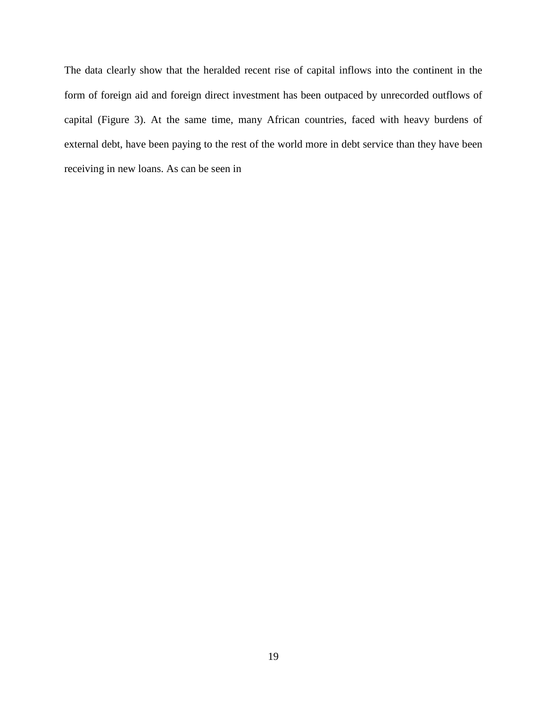The data clearly show that the heralded recent rise of capital inflows into the continent in the form of foreign aid and foreign direct investment has been outpaced by unrecorded outflows of capital (Figure 3). At the same time, many African countries, faced with heavy burdens of external debt, have been paying to the rest of the world more in debt service than they have been receiving in new loans. As can be seen in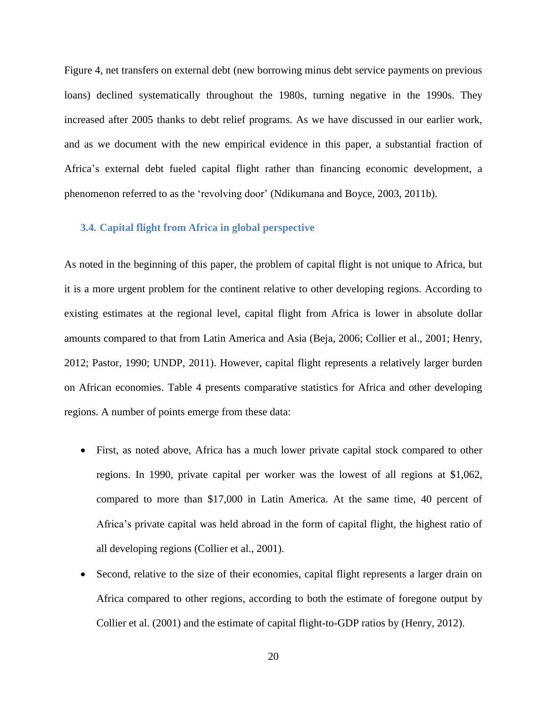Figure 4, net transfers on external debt (new borrowing minus debt service payments on previous loans) declined systematically throughout the 1980s, turning negative in the 1990s. They increased after 2005 thanks to debt relief programs. As we have discussed in our earlier work, and as we document with the new empirical evidence in this paper, a substantial fraction of Africa's external debt fueled capital flight rather than financing economic development, a phenomenon referred to as the 'revolving door' [\(Ndikumana and Boyce, 2003,](#page-42-1) [2011b\)](#page-42-3).

# **3.4. Capital flight from Africa in global perspective**

As noted in the beginning of this paper, the problem of capital flight is not unique to Africa, but it is a more urgent problem for the continent relative to other developing regions. According to existing estimates at the regional level, capital flight from Africa is lower in absolute dollar amounts compared to that from Latin America and Asia [\(Beja, 2006;](#page-40-6) [Collier et al., 2001;](#page-40-1) [Henry,](#page-41-0)  [2012;](#page-41-0) [Pastor, 1990;](#page-42-11) [UNDP, 2011\)](#page-42-0). However, capital flight represents a relatively larger burden on African economies. Table 4 presents comparative statistics for Africa and other developing regions. A number of points emerge from these data:

- First, as noted above, Africa has a much lower private capital stock compared to other regions. In 1990, private capital per worker was the lowest of all regions at \$1,062, compared to more than \$17,000 in Latin America. At the same time, 40 percent of Africa's private capital was held abroad in the form of capital flight, the highest ratio of all developing regions [\(Collier et al., 2001\)](#page-40-1).
- Second, relative to the size of their economies, capital flight represents a larger drain on Africa compared to other regions, according to both the estimate of foregone output by Collier et al. (2001) and the estimate of capital flight-to-GDP ratios by [\(Henry, 2012\)](#page-41-0).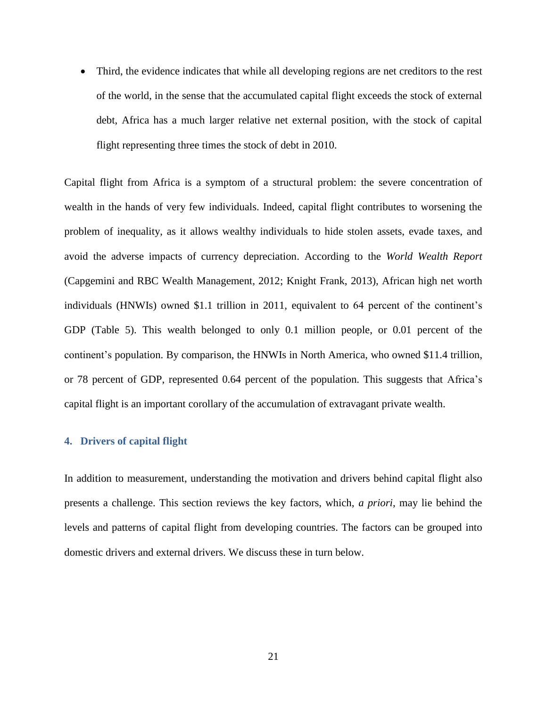Third, the evidence indicates that while all developing regions are net creditors to the rest of the world, in the sense that the accumulated capital flight exceeds the stock of external debt, Africa has a much larger relative net external position, with the stock of capital flight representing three times the stock of debt in 2010.

Capital flight from Africa is a symptom of a structural problem: the severe concentration of wealth in the hands of very few individuals. Indeed, capital flight contributes to worsening the problem of inequality, as it allows wealthy individuals to hide stolen assets, evade taxes, and avoid the adverse impacts of currency depreciation. According to the *World Wealth Report* [\(Capgemini and RBC Wealth Management, 2012;](#page-40-7) [Knight Frank, 2013\)](#page-41-10), African high net worth individuals (HNWIs) owned \$1.1 trillion in 2011, equivalent to 64 percent of the continent's GDP (Table 5). This wealth belonged to only 0.1 million people, or 0.01 percent of the continent's population. By comparison, the HNWIs in North America, who owned \$11.4 trillion, or 78 percent of GDP, represented 0.64 percent of the population. This suggests that Africa's capital flight is an important corollary of the accumulation of extravagant private wealth.

### **4. Drivers of capital flight**

In addition to measurement, understanding the motivation and drivers behind capital flight also presents a challenge. This section reviews the key factors, which, *a priori*, may lie behind the levels and patterns of capital flight from developing countries. The factors can be grouped into domestic drivers and external drivers. We discuss these in turn below.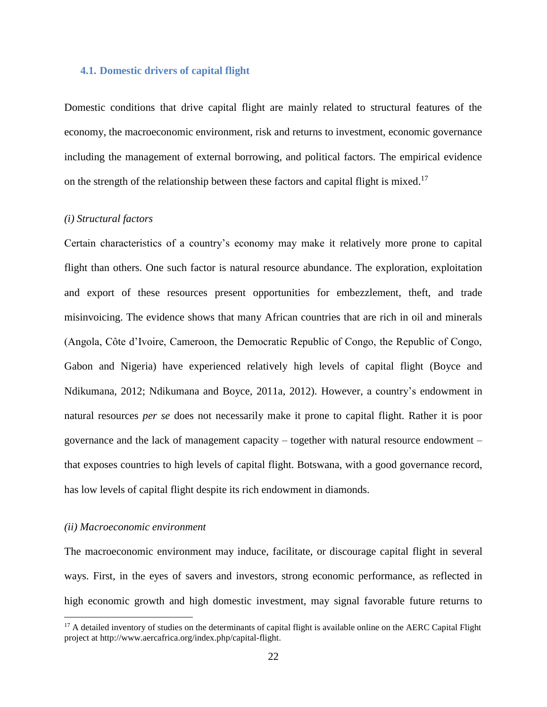#### **4.1. Domestic drivers of capital flight**

Domestic conditions that drive capital flight are mainly related to structural features of the economy, the macroeconomic environment, risk and returns to investment, economic governance including the management of external borrowing, and political factors. The empirical evidence on the strength of the relationship between these factors and capital flight is mixed.<sup>17</sup>

# *(i) Structural factors*

Certain characteristics of a country's economy may make it relatively more prone to capital flight than others. One such factor is natural resource abundance. The exploration, exploitation and export of these resources present opportunities for embezzlement, theft, and trade misinvoicing. The evidence shows that many African countries that are rich in oil and minerals (Angola, Côte d'Ivoire, Cameroon, the Democratic Republic of Congo, the Republic of Congo, Gabon and Nigeria) have experienced relatively high levels of capital flight [\(Boyce and](#page-40-8)  [Ndikumana, 2012;](#page-40-8) [Ndikumana and Boyce, 2011a,](#page-42-2) [2012\)](#page-42-12). However, a country's endowment in natural resources *per se* does not necessarily make it prone to capital flight. Rather it is poor governance and the lack of management capacity – together with natural resource endowment – that exposes countries to high levels of capital flight. Botswana, with a good governance record, has low levels of capital flight despite its rich endowment in diamonds.

### *(ii) Macroeconomic environment*

 $\overline{a}$ 

The macroeconomic environment may induce, facilitate, or discourage capital flight in several ways. First, in the eyes of savers and investors, strong economic performance, as reflected in high economic growth and high domestic investment, may signal favorable future returns to

 $17$  A detailed inventory of studies on the determinants of capital flight is available online on the AERC Capital Flight project at http://www.aercafrica.org/index.php/capital-flight.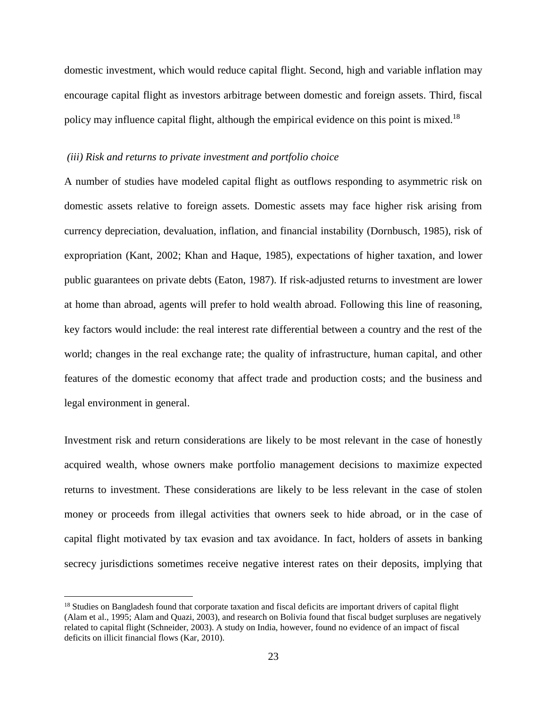domestic investment, which would reduce capital flight. Second, high and variable inflation may encourage capital flight as investors arbitrage between domestic and foreign assets. Third, fiscal policy may influence capital flight, although the empirical evidence on this point is mixed.<sup>18</sup>

### *(iii) Risk and returns to private investment and portfolio choice*

A number of studies have modeled capital flight as outflows responding to asymmetric risk on domestic assets relative to foreign assets. Domestic assets may face higher risk arising from currency depreciation, devaluation, inflation, and financial instability [\(Dornbusch, 1985\)](#page-40-9), risk of expropriation [\(Kant, 2002;](#page-41-11) [Khan and Haque, 1985\)](#page-41-12), expectations of higher taxation, and lower public guarantees on private debts [\(Eaton, 1987\)](#page-40-10). If risk-adjusted returns to investment are lower at home than abroad, agents will prefer to hold wealth abroad. Following this line of reasoning, key factors would include: the real interest rate differential between a country and the rest of the world; changes in the real exchange rate; the quality of infrastructure, human capital, and other features of the domestic economy that affect trade and production costs; and the business and legal environment in general.

Investment risk and return considerations are likely to be most relevant in the case of honestly acquired wealth, whose owners make portfolio management decisions to maximize expected returns to investment. These considerations are likely to be less relevant in the case of stolen money or proceeds from illegal activities that owners seek to hide abroad, or in the case of capital flight motivated by tax evasion and tax avoidance. In fact, holders of assets in banking secrecy jurisdictions sometimes receive negative interest rates on their deposits, implying that

 $\overline{a}$ 

<sup>&</sup>lt;sup>18</sup> Studies on Bangladesh found that corporate taxation and fiscal deficits are important drivers of capital flight [\(Alam et al., 1995;](#page-39-5) [Alam and Quazi, 2003\)](#page-39-6), and research on Bolivia found that fiscal budget surpluses are negatively related to capital flight [\(Schneider, 2003\)](#page-42-13). A study on India, however, found no evidence of an impact of fiscal deficits on illicit financial flows [\(Kar, 2010\)](#page-41-5).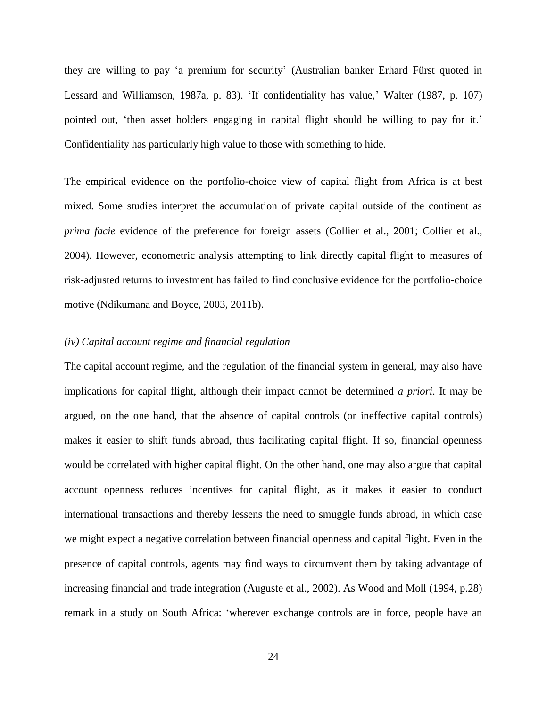they are willing to pay 'a premium for security' [\(Australian banker Erhard Fürst quoted in](#page-41-13)  [Lessard and Williamson, 1987a, p. 83\)](#page-41-13). 'If confidentiality has value,' [Walter \(1987, p. 107\)](#page-42-14) pointed out, 'then asset holders engaging in capital flight should be willing to pay for it.' Confidentiality has particularly high value to those with something to hide.

The empirical evidence on the portfolio-choice view of capital flight from Africa is at best mixed. Some studies interpret the accumulation of private capital outside of the continent as *prima facie* evidence of the preference for foreign assets [\(Collier et al., 2001;](#page-40-1) [Collier et al.,](#page-40-11)  [2004\)](#page-40-11). However, econometric analysis attempting to link directly capital flight to measures of risk-adjusted returns to investment has failed to find conclusive evidence for the portfolio-choice motive [\(Ndikumana and Boyce, 2003,](#page-42-1) [2011b\)](#page-42-3).

#### *(iv) Capital account regime and financial regulation*

The capital account regime, and the regulation of the financial system in general, may also have implications for capital flight, although their impact cannot be determined *a priori*. It may be argued, on the one hand, that the absence of capital controls (or ineffective capital controls) makes it easier to shift funds abroad, thus facilitating capital flight. If so, financial openness would be correlated with higher capital flight. On the other hand, one may also argue that capital account openness reduces incentives for capital flight, as it makes it easier to conduct international transactions and thereby lessens the need to smuggle funds abroad, in which case we might expect a negative correlation between financial openness and capital flight. Even in the presence of capital controls, agents may find ways to circumvent them by taking advantage of increasing financial and trade integration [\(Auguste et al., 2002\)](#page-39-7). As [Wood and Moll \(1994, p.28\)](#page-42-9) remark in a study on South Africa: 'wherever exchange controls are in force, people have an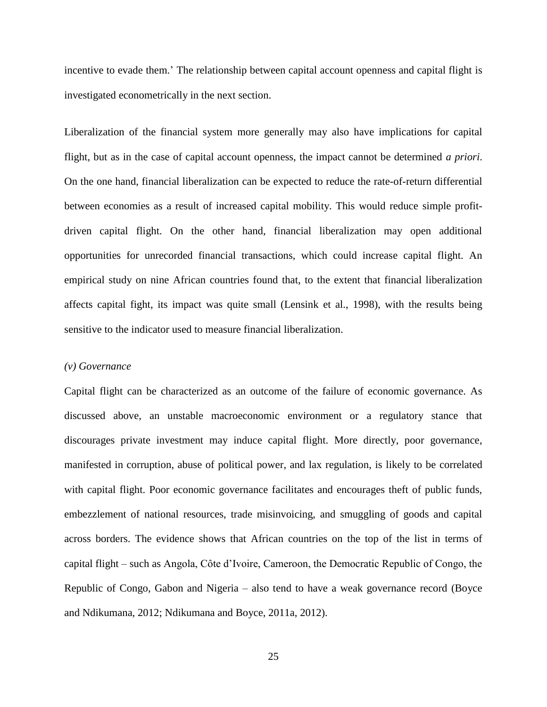incentive to evade them.' The relationship between capital account openness and capital flight is investigated econometrically in the next section.

Liberalization of the financial system more generally may also have implications for capital flight, but as in the case of capital account openness, the impact cannot be determined *a priori*. On the one hand, financial liberalization can be expected to reduce the rate-of-return differential between economies as a result of increased capital mobility. This would reduce simple profitdriven capital flight. On the other hand, financial liberalization may open additional opportunities for unrecorded financial transactions, which could increase capital flight. An empirical study on nine African countries found that, to the extent that financial liberalization affects capital fight, its impact was quite small [\(Lensink et al., 1998\)](#page-41-14), with the results being sensitive to the indicator used to measure financial liberalization.

#### *(v) Governance*

Capital flight can be characterized as an outcome of the failure of economic governance. As discussed above, an unstable macroeconomic environment or a regulatory stance that discourages private investment may induce capital flight. More directly, poor governance, manifested in corruption, abuse of political power, and lax regulation, is likely to be correlated with capital flight. Poor economic governance facilitates and encourages theft of public funds, embezzlement of national resources, trade misinvoicing, and smuggling of goods and capital across borders. The evidence shows that African countries on the top of the list in terms of capital flight – such as Angola, Côte d'Ivoire, Cameroon, the Democratic Republic of Congo, the Republic of Congo, Gabon and Nigeria – also tend to have a weak governance record [\(Boyce](#page-40-8)  [and Ndikumana, 2012;](#page-40-8) [Ndikumana and Boyce, 2011a,](#page-42-2) [2012\)](#page-42-12).

25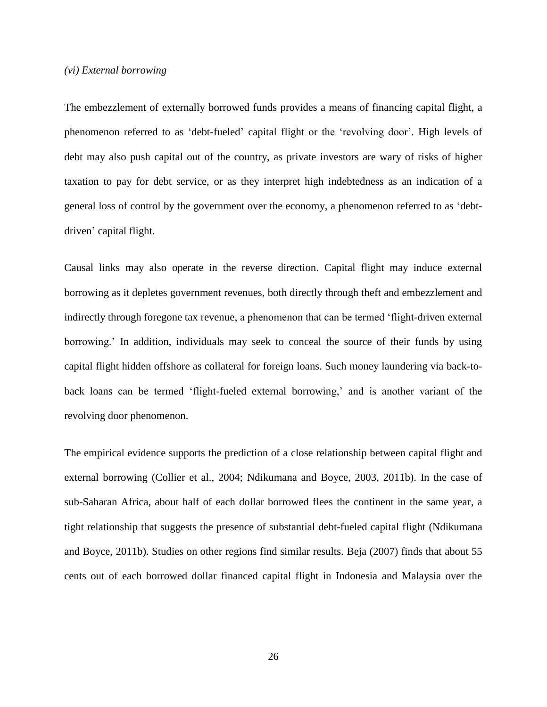## *(vi) External borrowing*

The embezzlement of externally borrowed funds provides a means of financing capital flight, a phenomenon referred to as 'debt-fueled' capital flight or the 'revolving door'. High levels of debt may also push capital out of the country, as private investors are wary of risks of higher taxation to pay for debt service, or as they interpret high indebtedness as an indication of a general loss of control by the government over the economy, a phenomenon referred to as 'debtdriven' capital flight.

Causal links may also operate in the reverse direction. Capital flight may induce external borrowing as it depletes government revenues, both directly through theft and embezzlement and indirectly through foregone tax revenue, a phenomenon that can be termed 'flight-driven external borrowing.' In addition, individuals may seek to conceal the source of their funds by using capital flight hidden offshore as collateral for foreign loans. Such money laundering via back-toback loans can be termed 'flight-fueled external borrowing,' and is another variant of the revolving door phenomenon.

The empirical evidence supports the prediction of a close relationship between capital flight and external borrowing [\(Collier et al., 2004;](#page-40-11) [Ndikumana and Boyce, 2003,](#page-42-1) [2011b\)](#page-42-3). In the case of sub-Saharan Africa, about half of each dollar borrowed flees the continent in the same year, a tight relationship that suggests the presence of substantial debt-fueled capital flight [\(Ndikumana](#page-42-3)  [and Boyce, 2011b\)](#page-42-3). Studies on other regions find similar results. [Beja \(2007\)](#page-40-12) finds that about 55 cents out of each borrowed dollar financed capital flight in Indonesia and Malaysia over the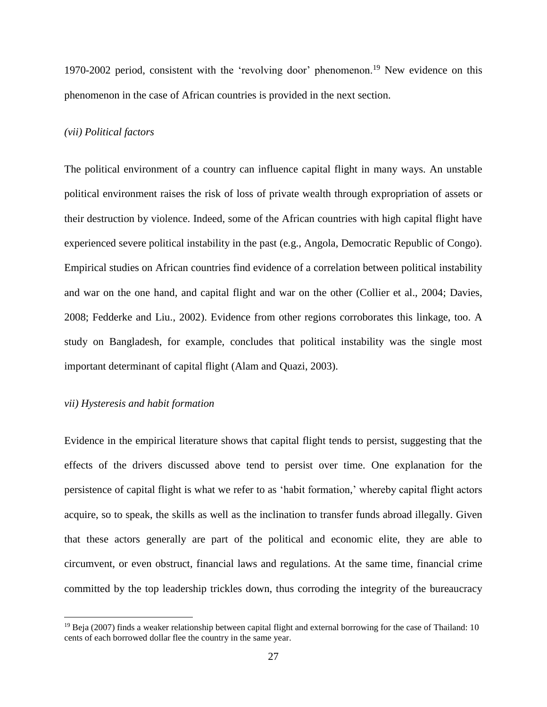1970-2002 period, consistent with the 'revolving door' phenomenon.<sup>19</sup> New evidence on this phenomenon in the case of African countries is provided in the next section.

#### *(vii) Political factors*

The political environment of a country can influence capital flight in many ways. An unstable political environment raises the risk of loss of private wealth through expropriation of assets or their destruction by violence. Indeed, some of the African countries with high capital flight have experienced severe political instability in the past (e.g., Angola, Democratic Republic of Congo). Empirical studies on African countries find evidence of a correlation between political instability and war on the one hand, and capital flight and war on the other [\(Collier et al., 2004;](#page-40-11) [Davies,](#page-40-13)  [2008;](#page-40-13) [Fedderke and Liu., 2002\)](#page-41-15). Evidence from other regions corroborates this linkage, too. A study on Bangladesh, for example, concludes that political instability was the single most important determinant of capital flight [\(Alam and Quazi, 2003\)](#page-39-6).

# *vii) Hysteresis and habit formation*

 $\overline{a}$ 

Evidence in the empirical literature shows that capital flight tends to persist, suggesting that the effects of the drivers discussed above tend to persist over time. One explanation for the persistence of capital flight is what we refer to as 'habit formation,' whereby capital flight actors acquire, so to speak, the skills as well as the inclination to transfer funds abroad illegally. Given that these actors generally are part of the political and economic elite, they are able to circumvent, or even obstruct, financial laws and regulations. At the same time, financial crime committed by the top leadership trickles down, thus corroding the integrity of the bureaucracy

 $19$  [Beja \(2007\)](#page-40-12) finds a weaker relationship between capital flight and external borrowing for the case of Thailand: 10 cents of each borrowed dollar flee the country in the same year.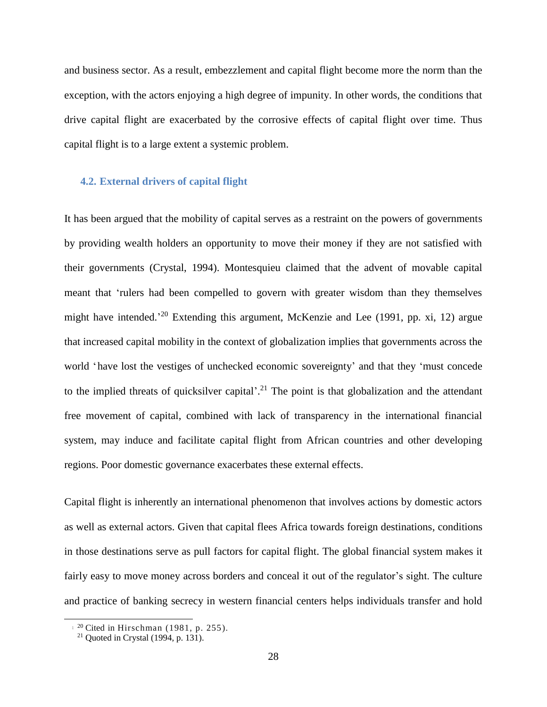and business sector. As a result, embezzlement and capital flight become more the norm than the exception, with the actors enjoying a high degree of impunity. In other words, the conditions that drive capital flight are exacerbated by the corrosive effects of capital flight over time. Thus capital flight is to a large extent a systemic problem.

#### **4.2. External drivers of capital flight**

It has been argued that the mobility of capital serves as a restraint on the powers of governments by providing wealth holders an opportunity to move their money if they are not satisfied with their governments [\(Crystal, 1994\)](#page-40-14). Montesquieu claimed that the advent of movable capital meant that 'rulers had been compelled to govern with greater wisdom than they themselves might have intended.<sup>20</sup> Extending this argument, [McKenzie and Lee \(1991, pp. xi, 12\)](#page-41-16) argue that increased capital mobility in the context of globalization implies that governments across the world 'have lost the vestiges of unchecked economic sovereignty' and that they 'must concede to the implied threats of quicksilver capital'.<sup>21</sup> The point is that globalization and the attendant free movement of capital, combined with lack of transparency in the international financial system, may induce and facilitate capital flight from African countries and other developing regions. Poor domestic governance exacerbates these external effects.

Capital flight is inherently an international phenomenon that involves actions by domestic actors as well as external actors. Given that capital flees Africa towards foreign destinations, conditions in those destinations serve as pull factors for capital flight. The global financial system makes it fairly easy to move money across borders and conceal it out of the regulator's sight. The culture and practice of banking secrecy in western financial centers helps individuals transfer and hold

 $\overline{a}$ 

 $1^{20}$  Cited in [Hirschman \(1981, p. 255\)](#page-41-17).

<sup>&</sup>lt;sup>21</sup> Quoted in [Crystal \(1994, p. 131\)](#page-40-14).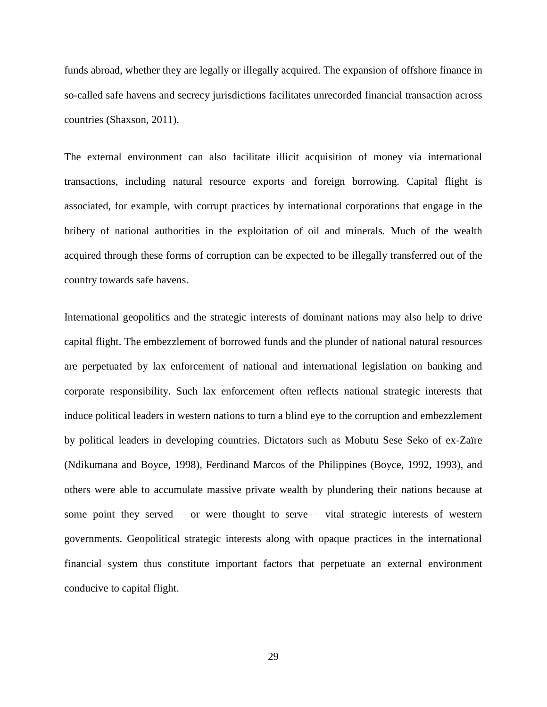funds abroad, whether they are legally or illegally acquired. The expansion of offshore finance in so-called safe havens and secrecy jurisdictions facilitates unrecorded financial transaction across countries [\(Shaxson, 2011\)](#page-42-8).

The external environment can also facilitate illicit acquisition of money via international transactions, including natural resource exports and foreign borrowing. Capital flight is associated, for example, with corrupt practices by international corporations that engage in the bribery of national authorities in the exploitation of oil and minerals. Much of the wealth acquired through these forms of corruption can be expected to be illegally transferred out of the country towards safe havens.

International geopolitics and the strategic interests of dominant nations may also help to drive capital flight. The embezzlement of borrowed funds and the plunder of national natural resources are perpetuated by lax enforcement of national and international legislation on banking and corporate responsibility. Such lax enforcement often reflects national strategic interests that induce political leaders in western nations to turn a blind eye to the corruption and embezzlement by political leaders in developing countries. Dictators such as Mobutu Sese Seko of ex-Zaïre [\(Ndikumana and Boyce, 1998\)](#page-42-15), Ferdinand Marcos of the Philippines [\(Boyce, 1992,](#page-40-15) [1993\)](#page-40-16), and others were able to accumulate massive private wealth by plundering their nations because at some point they served – or were thought to serve – vital strategic interests of western governments. Geopolitical strategic interests along with opaque practices in the international financial system thus constitute important factors that perpetuate an external environment conducive to capital flight.

29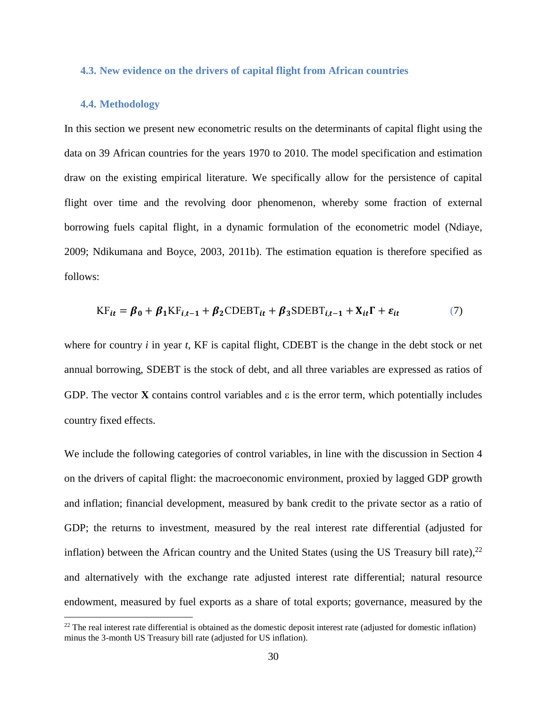#### **4.3. New evidence on the drivers of capital flight from African countries**

# **4.4. Methodology**

 $\overline{a}$ 

In this section we present new econometric results on the determinants of capital flight using the data on 39 African countries for the years 1970 to 2010. The model specification and estimation draw on the existing empirical literature. We specifically allow for the persistence of capital flight over time and the revolving door phenomenon, whereby some fraction of external borrowing fuels capital flight, in a dynamic formulation of the econometric model [\(Ndiaye,](#page-41-18)  [2009;](#page-41-18) [Ndikumana and Boyce, 2003,](#page-42-1) [2011b\)](#page-42-3). The estimation equation is therefore specified as follows:

$$
KF_{it} = \beta_0 + \beta_1 K F_{i,t-1} + \beta_2 CDEBT_{it} + \beta_3 SDEBT_{i,t-1} + X_{it}\Gamma + \varepsilon_{it}
$$
 (7)

where for country *i* in year *t*, KF is capital flight, CDEBT is the change in the debt stock or net annual borrowing, SDEBT is the stock of debt, and all three variables are expressed as ratios of GDP. The vector **X** contains control variables and  $\varepsilon$  is the error term, which potentially includes country fixed effects.

We include the following categories of control variables, in line with the discussion in Section 4 on the drivers of capital flight: the macroeconomic environment, proxied by lagged GDP growth and inflation; financial development, measured by bank credit to the private sector as a ratio of GDP; the returns to investment, measured by the real interest rate differential (adjusted for inflation) between the African country and the United States (using the US Treasury bill rate), $^{22}$ and alternatively with the exchange rate adjusted interest rate differential; natural resource endowment, measured by fuel exports as a share of total exports; governance, measured by the

 $^{22}$  The real interest rate differential is obtained as the domestic deposit interest rate (adjusted for domestic inflation) minus the 3-month US Treasury bill rate (adjusted for US inflation).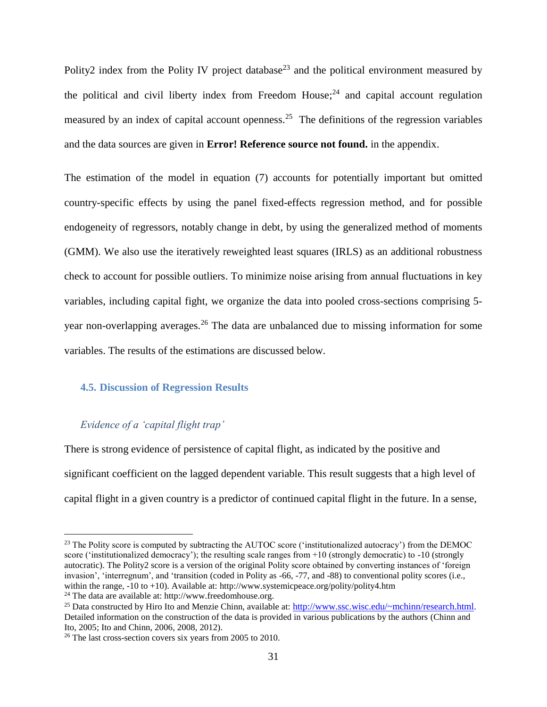Polity2 index from the Polity IV project database<sup>23</sup> and the political environment measured by the political and civil liberty index from Freedom House; $^{24}$  and capital account regulation measured by an index of capital account openness.<sup>25</sup> The definitions of the regression variables and the data sources are given in **Error! Reference source not found.** in the appendix.

The estimation of the model in equation (7) accounts for potentially important but omitted country-specific effects by using the panel fixed-effects regression method, and for possible endogeneity of regressors, notably change in debt, by using the generalized method of moments (GMM). We also use the iteratively reweighted least squares (IRLS) as an additional robustness check to account for possible outliers. To minimize noise arising from annual fluctuations in key variables, including capital fight, we organize the data into pooled cross-sections comprising 5 year non-overlapping averages.<sup>26</sup> The data are unbalanced due to missing information for some variables. The results of the estimations are discussed below.

# **4.5. Discussion of Regression Results**

# *Evidence of a 'capital flight trap'*

 $\overline{a}$ 

There is strong evidence of persistence of capital flight, as indicated by the positive and significant coefficient on the lagged dependent variable. This result suggests that a high level of capital flight in a given country is a predictor of continued capital flight in the future. In a sense,

<sup>&</sup>lt;sup>23</sup> The Polity score is computed by subtracting the AUTOC score ('institutionalized autocracy') from the DEMOC score ('institutionalized democracy'); the resulting scale ranges from +10 (strongly democratic) to -10 (strongly autocratic). The Polity2 score is a version of the original Polity score obtained by converting instances of 'foreign invasion', 'interregnum', and 'transition (coded in Polity as -66, -77, and -88) to conventional polity scores (i.e., within the range, -10 to +10). Available at: http://www.systemicpeace.org/polity/polity4.htm

<sup>24</sup> The data are available at: http://www.freedomhouse.org.

<sup>&</sup>lt;sup>25</sup> Data constructed by Hiro Ito and Menzie Chinn, available at: [http://www.ssc.wisc.edu/~mchinn/research.html.](http://www.ssc.wisc.edu/~mchinn/research.html) Detailed information on the construction of the data is provided in various publications by the authors [\(Chinn and](#page-40-17)  [Ito, 2005;](#page-40-17) [Ito and Chinn, 2006,](#page-41-19) [2008,](#page-41-20) [2012\)](#page-41-21).

<sup>&</sup>lt;sup>26</sup> The last cross-section covers six years from 2005 to 2010.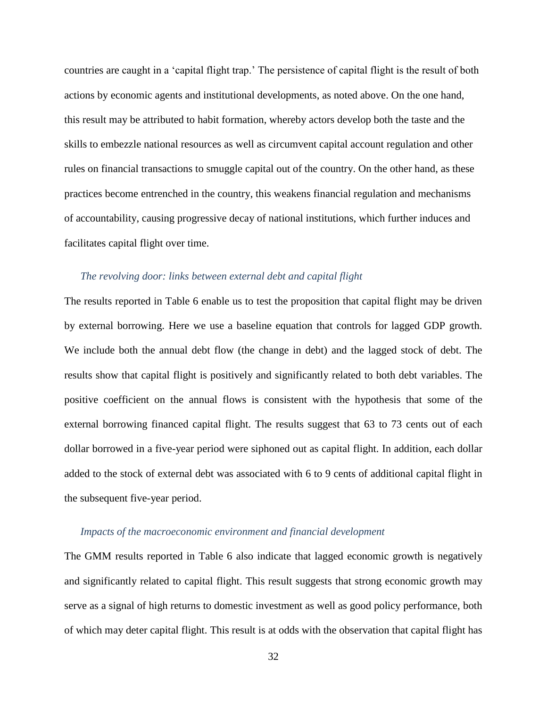countries are caught in a 'capital flight trap.' The persistence of capital flight is the result of both actions by economic agents and institutional developments, as noted above. On the one hand, this result may be attributed to habit formation, whereby actors develop both the taste and the skills to embezzle national resources as well as circumvent capital account regulation and other rules on financial transactions to smuggle capital out of the country. On the other hand, as these practices become entrenched in the country, this weakens financial regulation and mechanisms of accountability, causing progressive decay of national institutions, which further induces and facilitates capital flight over time.

# *The revolving door: links between external debt and capital flight*

The results reported in [Table 6](#page-48-0) enable us to test the proposition that capital flight may be driven by external borrowing. Here we use a baseline equation that controls for lagged GDP growth. We include both the annual debt flow (the change in debt) and the lagged stock of debt. The results show that capital flight is positively and significantly related to both debt variables. The positive coefficient on the annual flows is consistent with the hypothesis that some of the external borrowing financed capital flight. The results suggest that 63 to 73 cents out of each dollar borrowed in a five-year period were siphoned out as capital flight. In addition, each dollar added to the stock of external debt was associated with 6 to 9 cents of additional capital flight in the subsequent five-year period.

## *Impacts of the macroeconomic environment and financial development*

The GMM results reported in [Table 6](#page-48-0) also indicate that lagged economic growth is negatively and significantly related to capital flight. This result suggests that strong economic growth may serve as a signal of high returns to domestic investment as well as good policy performance, both of which may deter capital flight. This result is at odds with the observation that capital flight has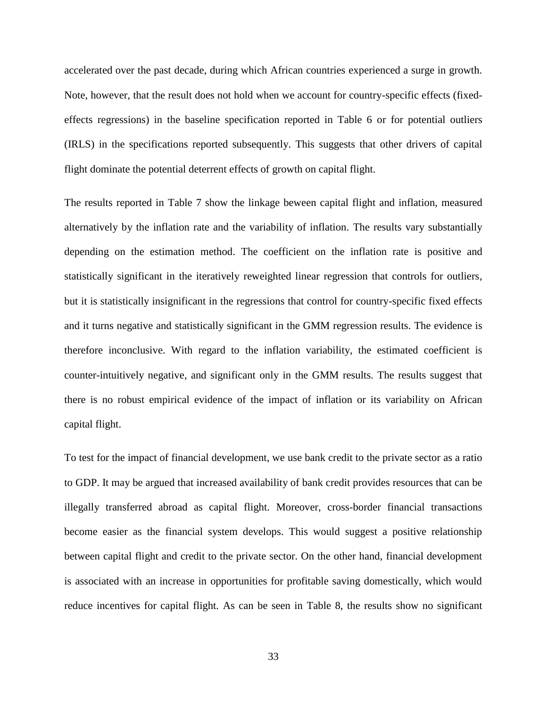accelerated over the past decade, during which African countries experienced a surge in growth. Note, however, that the result does not hold when we account for country-specific effects (fixedeffects regressions) in the baseline specification reported in Table 6 or for potential outliers (IRLS) in the specifications reported subsequently. This suggests that other drivers of capital flight dominate the potential deterrent effects of growth on capital flight.

The results reported in Table 7 show the linkage beween capital flight and inflation, measured alternatively by the inflation rate and the variability of inflation. The results vary substantially depending on the estimation method. The coefficient on the inflation rate is positive and statistically significant in the iteratively reweighted linear regression that controls for outliers, but it is statistically insignificant in the regressions that control for country-specific fixed effects and it turns negative and statistically significant in the GMM regression results. The evidence is therefore inconclusive. With regard to the inflation variability, the estimated coefficient is counter-intuitively negative, and significant only in the GMM results. The results suggest that there is no robust empirical evidence of the impact of inflation or its variability on African capital flight.

To test for the impact of financial development, we use bank credit to the private sector as a ratio to GDP. It may be argued that increased availability of bank credit provides resources that can be illegally transferred abroad as capital flight. Moreover, cross-border financial transactions become easier as the financial system develops. This would suggest a positive relationship between capital flight and credit to the private sector. On the other hand, financial development is associated with an increase in opportunities for profitable saving domestically, which would reduce incentives for capital flight. As can be seen in Table 8, the results show no significant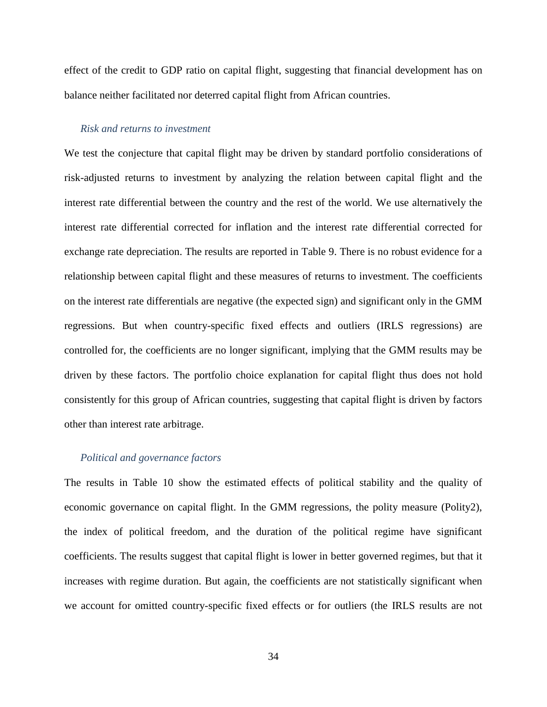effect of the credit to GDP ratio on capital flight, suggesting that financial development has on balance neither facilitated nor deterred capital flight from African countries.

#### *Risk and returns to investment*

We test the conjecture that capital flight may be driven by standard portfolio considerations of risk-adjusted returns to investment by analyzing the relation between capital flight and the interest rate differential between the country and the rest of the world. We use alternatively the interest rate differential corrected for inflation and the interest rate differential corrected for exchange rate depreciation. The results are reported in Table 9. There is no robust evidence for a relationship between capital flight and these measures of returns to investment. The coefficients on the interest rate differentials are negative (the expected sign) and significant only in the GMM regressions. But when country-specific fixed effects and outliers (IRLS regressions) are controlled for, the coefficients are no longer significant, implying that the GMM results may be driven by these factors. The portfolio choice explanation for capital flight thus does not hold consistently for this group of African countries, suggesting that capital flight is driven by factors other than interest rate arbitrage.

# *Political and governance factors*

The results in Table 10 show the estimated effects of political stability and the quality of economic governance on capital flight. In the GMM regressions, the polity measure (Polity2), the index of political freedom, and the duration of the political regime have significant coefficients. The results suggest that capital flight is lower in better governed regimes, but that it increases with regime duration. But again, the coefficients are not statistically significant when we account for omitted country-specific fixed effects or for outliers (the IRLS results are not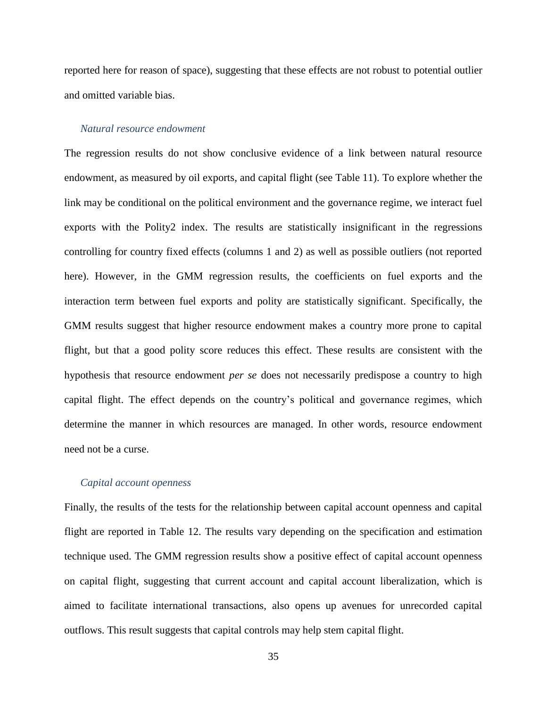reported here for reason of space), suggesting that these effects are not robust to potential outlier and omitted variable bias.

# *Natural resource endowment*

The regression results do not show conclusive evidence of a link between natural resource endowment, as measured by oil exports, and capital flight (see [Table 11\)](#page-53-0). To explore whether the link may be conditional on the political environment and the governance regime, we interact fuel exports with the Polity2 index. The results are statistically insignificant in the regressions controlling for country fixed effects (columns 1 and 2) as well as possible outliers (not reported here). However, in the GMM regression results, the coefficients on fuel exports and the interaction term between fuel exports and polity are statistically significant. Specifically, the GMM results suggest that higher resource endowment makes a country more prone to capital flight, but that a good polity score reduces this effect. These results are consistent with the hypothesis that resource endowment *per se* does not necessarily predispose a country to high capital flight. The effect depends on the country's political and governance regimes, which determine the manner in which resources are managed. In other words, resource endowment need not be a curse.

#### *Capital account openness*

Finally, the results of the tests for the relationship between capital account openness and capital flight are reported in [Table 12.](#page-54-0) The results vary depending on the specification and estimation technique used. The GMM regression results show a positive effect of capital account openness on capital flight, suggesting that current account and capital account liberalization, which is aimed to facilitate international transactions, also opens up avenues for unrecorded capital outflows. This result suggests that capital controls may help stem capital flight.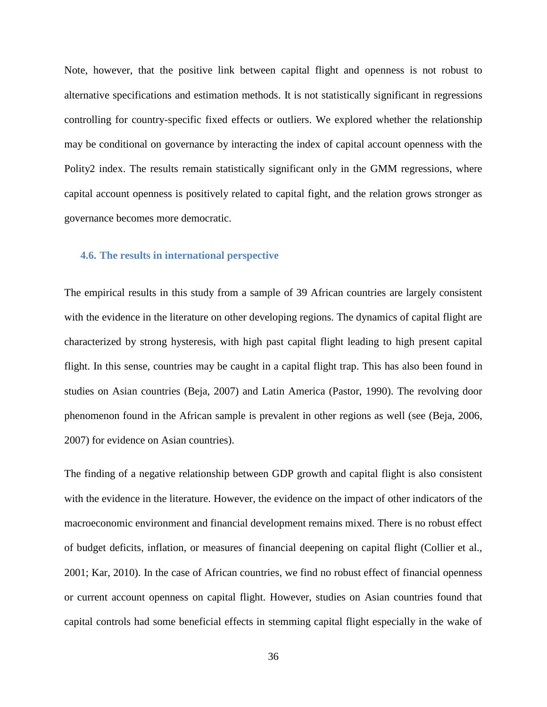Note, however, that the positive link between capital flight and openness is not robust to alternative specifications and estimation methods. It is not statistically significant in regressions controlling for country-specific fixed effects or outliers. We explored whether the relationship may be conditional on governance by interacting the index of capital account openness with the Polity2 index. The results remain statistically significant only in the GMM regressions, where capital account openness is positively related to capital fight, and the relation grows stronger as governance becomes more democratic.

#### **4.6. The results in international perspective**

The empirical results in this study from a sample of 39 African countries are largely consistent with the evidence in the literature on other developing regions. The dynamics of capital flight are characterized by strong hysteresis, with high past capital flight leading to high present capital flight. In this sense, countries may be caught in a capital flight trap. This has also been found in studies on Asian countries [\(Beja, 2007\)](#page-40-12) and Latin America [\(Pastor, 1990\)](#page-42-11). The revolving door phenomenon found in the African sample is prevalent in other regions as well (see [\(Beja, 2006,](#page-40-6) [2007\)](#page-40-12) for evidence on Asian countries).

The finding of a negative relationship between GDP growth and capital flight is also consistent with the evidence in the literature. However, the evidence on the impact of other indicators of the macroeconomic environment and financial development remains mixed. There is no robust effect of budget deficits, inflation, or measures of financial deepening on capital flight [\(Collier et al.,](#page-40-1)  [2001;](#page-40-1) [Kar, 2010\)](#page-41-5). In the case of African countries, we find no robust effect of financial openness or current account openness on capital flight. However, studies on Asian countries found that capital controls had some beneficial effects in stemming capital flight especially in the wake of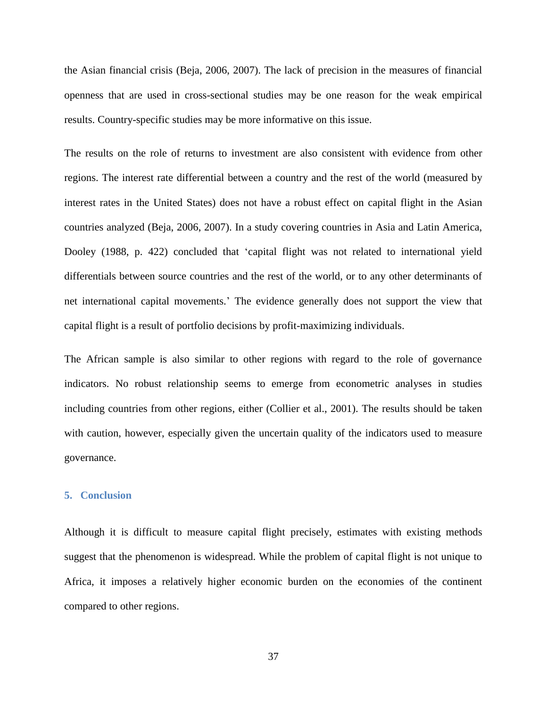the Asian financial crisis [\(Beja, 2006,](#page-40-6) [2007\)](#page-40-12). The lack of precision in the measures of financial openness that are used in cross-sectional studies may be one reason for the weak empirical results. Country-specific studies may be more informative on this issue.

The results on the role of returns to investment are also consistent with evidence from other regions. The interest rate differential between a country and the rest of the world (measured by interest rates in the United States) does not have a robust effect on capital flight in the Asian countries analyzed [\(Beja, 2006,](#page-40-6) [2007\)](#page-40-12). In a study covering countries in Asia and Latin America, [Dooley \(1988, p. 422\)](#page-40-18) concluded that 'capital flight was not related to international yield differentials between source countries and the rest of the world, or to any other determinants of net international capital movements.' The evidence generally does not support the view that capital flight is a result of portfolio decisions by profit-maximizing individuals.

The African sample is also similar to other regions with regard to the role of governance indicators. No robust relationship seems to emerge from econometric analyses in studies including countries from other regions, either [\(Collier et al., 2001\)](#page-40-1). The results should be taken with caution, however, especially given the uncertain quality of the indicators used to measure governance.

# **5. Conclusion**

Although it is difficult to measure capital flight precisely, estimates with existing methods suggest that the phenomenon is widespread. While the problem of capital flight is not unique to Africa, it imposes a relatively higher economic burden on the economies of the continent compared to other regions.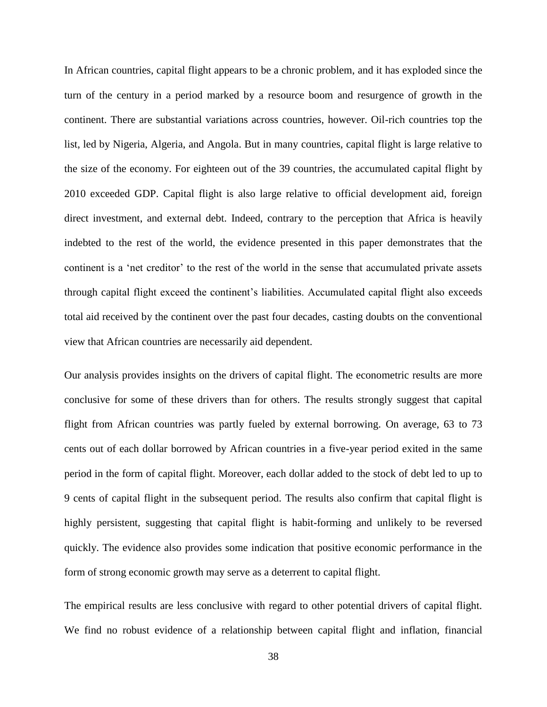In African countries, capital flight appears to be a chronic problem, and it has exploded since the turn of the century in a period marked by a resource boom and resurgence of growth in the continent. There are substantial variations across countries, however. Oil-rich countries top the list, led by Nigeria, Algeria, and Angola. But in many countries, capital flight is large relative to the size of the economy. For eighteen out of the 39 countries, the accumulated capital flight by 2010 exceeded GDP. Capital flight is also large relative to official development aid, foreign direct investment, and external debt. Indeed, contrary to the perception that Africa is heavily indebted to the rest of the world, the evidence presented in this paper demonstrates that the continent is a 'net creditor' to the rest of the world in the sense that accumulated private assets through capital flight exceed the continent's liabilities. Accumulated capital flight also exceeds total aid received by the continent over the past four decades, casting doubts on the conventional view that African countries are necessarily aid dependent.

Our analysis provides insights on the drivers of capital flight. The econometric results are more conclusive for some of these drivers than for others. The results strongly suggest that capital flight from African countries was partly fueled by external borrowing. On average, 63 to 73 cents out of each dollar borrowed by African countries in a five-year period exited in the same period in the form of capital flight. Moreover, each dollar added to the stock of debt led to up to 9 cents of capital flight in the subsequent period. The results also confirm that capital flight is highly persistent, suggesting that capital flight is habit-forming and unlikely to be reversed quickly. The evidence also provides some indication that positive economic performance in the form of strong economic growth may serve as a deterrent to capital flight.

The empirical results are less conclusive with regard to other potential drivers of capital flight. We find no robust evidence of a relationship between capital flight and inflation, financial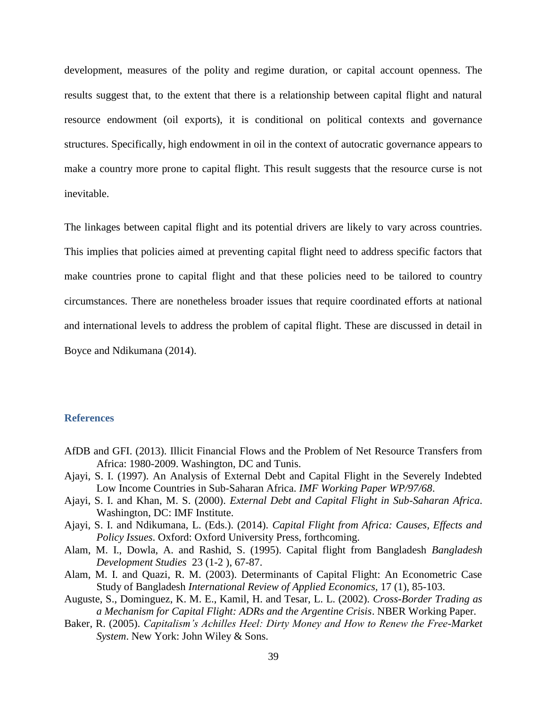development, measures of the polity and regime duration, or capital account openness. The results suggest that, to the extent that there is a relationship between capital flight and natural resource endowment (oil exports), it is conditional on political contexts and governance structures. Specifically, high endowment in oil in the context of autocratic governance appears to make a country more prone to capital flight. This result suggests that the resource curse is not inevitable.

The linkages between capital flight and its potential drivers are likely to vary across countries. This implies that policies aimed at preventing capital flight need to address specific factors that make countries prone to capital flight and that these policies need to be tailored to country circumstances. There are nonetheless broader issues that require coordinated efforts at national and international levels to address the problem of capital flight. These are discussed in detail in [Boyce and Ndikumana \(2014\)](#page-40-19).

# **References**

- <span id="page-39-2"></span>AfDB and GFI. (2013). Illicit Financial Flows and the Problem of Net Resource Transfers from Africa: 1980-2009. Washington, DC and Tunis.
- <span id="page-39-3"></span>Ajayi, S. I. (1997). An Analysis of External Debt and Capital Flight in the Severely Indebted Low Income Countries in Sub-Saharan Africa. *IMF Working Paper WP/97/68*.
- <span id="page-39-4"></span>Ajayi, S. I. and Khan, M. S. (2000). *External Debt and Capital Flight in Sub-Saharan Africa*. Washington, DC: IMF Institute.
- <span id="page-39-0"></span>Ajayi, S. I. and Ndikumana, L. (Eds.). (2014). *Capital Flight from Africa: Causes, Effects and Policy Issues*. Oxford: Oxford University Press, forthcoming.
- <span id="page-39-5"></span>Alam, M. I., Dowla, A. and Rashid, S. (1995). Capital flight from Bangladesh *Bangladesh Development Studies* 23 (1-2 ), 67-87.
- <span id="page-39-6"></span>Alam, M. I. and Quazi, R. M. (2003). Determinants of Capital Flight: An Econometric Case Study of Bangladesh *International Review of Applied Economics,* 17 (1), 85-103.
- <span id="page-39-7"></span>Auguste, S., Dominguez, K. M. E., Kamil, H. and Tesar, L. L. (2002). *Cross-Border Trading as a Mechanism for Capital Flight: ADRs and the Argentine Crisis*. NBER Working Paper.
- <span id="page-39-1"></span>Baker, R. (2005). *Capitalism's Achilles Heel: Dirty Money and How to Renew the Free-Market System*. New York: John Wiley & Sons.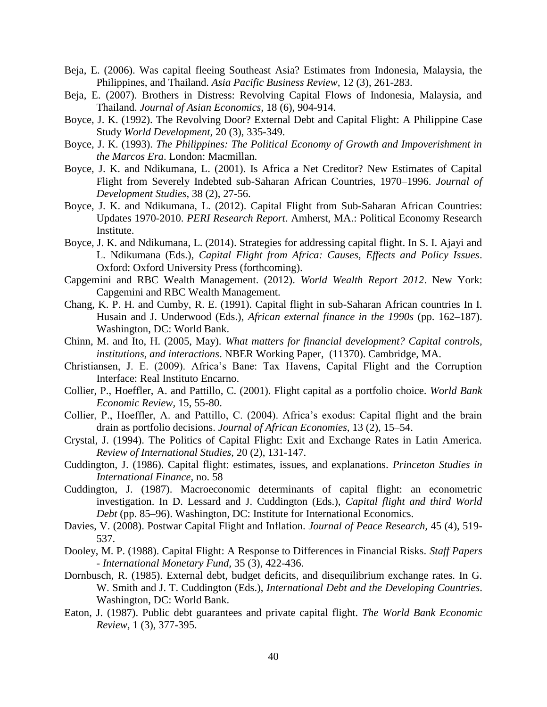- <span id="page-40-6"></span>Beja, E. (2006). Was capital fleeing Southeast Asia? Estimates from Indonesia, Malaysia, the Philippines, and Thailand. *Asia Pacific Business Review,* 12 (3), 261-283.
- <span id="page-40-12"></span>Beja, E. (2007). Brothers in Distress: Revolving Capital Flows of Indonesia, Malaysia, and Thailand. *Journal of Asian Economics,* 18 (6), 904-914.
- <span id="page-40-15"></span>Boyce, J. K. (1992). The Revolving Door? External Debt and Capital Flight: A Philippine Case Study *World Development,* 20 (3), 335-349.
- <span id="page-40-16"></span>Boyce, J. K. (1993). *The Philippines: The Political Economy of Growth and Impoverishment in the Marcos Era*. London: Macmillan.
- <span id="page-40-0"></span>Boyce, J. K. and Ndikumana, L. (2001). Is Africa a Net Creditor? New Estimates of Capital Flight from Severely Indebted sub-Saharan African Countries, 1970–1996. *Journal of Development Studies,* 38 (2), 27-56.
- <span id="page-40-8"></span>Boyce, J. K. and Ndikumana, L. (2012). Capital Flight from Sub-Saharan African Countries: Updates 1970-2010. *PERI Research Report*. Amherst, MA.: Political Economy Research Institute.
- <span id="page-40-19"></span>Boyce, J. K. and Ndikumana, L. (2014). Strategies for addressing capital flight. In S. I. Ajayi and L. Ndikumana (Eds.), *Capital Flight from Africa: Causes, Effects and Policy Issues*. Oxford: Oxford University Press (forthcoming).
- <span id="page-40-7"></span>Capgemini and RBC Wealth Management. (2012). *World Wealth Report 2012*. New York: Capgemini and RBC Wealth Management.
- <span id="page-40-5"></span>Chang, K. P. H. and Cumby, R. E. (1991). Capital flight in sub-Saharan African countries In I. Husain and J. Underwood (Eds.), *African external finance in the 1990s* (pp. 162–187). Washington, DC: World Bank.
- <span id="page-40-17"></span>Chinn, M. and Ito, H. (2005, May). *What matters for financial development? Capital controls, institutions, and interactions*. NBER Working Paper, (11370). Cambridge, MA.
- <span id="page-40-4"></span>Christiansen, J. E. (2009). Africa's Bane: Tax Havens, Capital Flight and the Corruption Interface: Real Instituto Encarno.
- <span id="page-40-1"></span>Collier, P., Hoeffler, A. and Pattillo, C. (2001). Flight capital as a portfolio choice. *World Bank Economic Review,* 15, 55-80.
- <span id="page-40-11"></span>Collier, P., Hoeffler, A. and Pattillo, C. (2004). Africa's exodus: Capital flight and the brain drain as portfolio decisions. *Journal of African Economies,* 13 (2), 15–54.
- <span id="page-40-14"></span>Crystal, J. (1994). The Politics of Capital Flight: Exit and Exchange Rates in Latin America. *Review of International Studies,* 20 (2), 131-147.
- <span id="page-40-2"></span>Cuddington, J. (1986). Capital flight: estimates, issues, and explanations. *Princeton Studies in International Finance,* no. 58
- <span id="page-40-3"></span>Cuddington, J. (1987). Macroeconomic determinants of capital flight: an econometric investigation. In D. Lessard and J. Cuddington (Eds.), *Capital flight and third World Debt* (pp. 85–96). Washington, DC: Institute for International Economics.
- <span id="page-40-13"></span>Davies, V. (2008). Postwar Capital Flight and Inflation. *Journal of Peace Research,* 45 (4), 519- 537.
- <span id="page-40-18"></span>Dooley, M. P. (1988). Capital Flight: A Response to Differences in Financial Risks. *Staff Papers - International Monetary Fund,* 35 (3), 422-436.
- <span id="page-40-9"></span>Dornbusch, R. (1985). External debt, budget deficits, and disequilibrium exchange rates. In G. W. Smith and J. T. Cuddington (Eds.), *International Debt and the Developing Countries*. Washington, DC: World Bank.
- <span id="page-40-10"></span>Eaton, J. (1987). Public debt guarantees and private capital flight. *The World Bank Economic Review,* 1 (3), 377-395.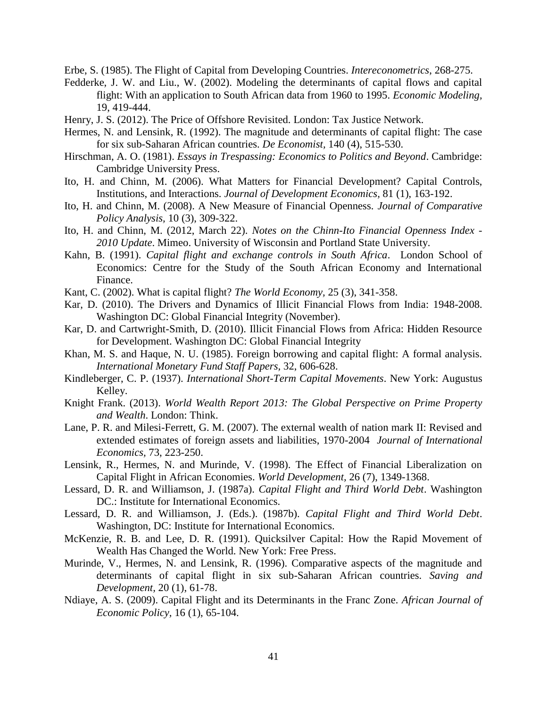<span id="page-41-2"></span>Erbe, S. (1985). The Flight of Capital from Developing Countries. *Intereconometrics*, 268-275.

- <span id="page-41-15"></span>Fedderke, J. W. and Liu., W. (2002). Modeling the determinants of capital flows and capital flight: With an application to South African data from 1960 to 1995. *Economic Modeling,*  19, 419-444.
- <span id="page-41-0"></span>Henry, J. S. (2012). The Price of Offshore Revisited. London: Tax Justice Network.
- <span id="page-41-7"></span>Hermes, N. and Lensink, R. (1992). The magnitude and determinants of capital flight: The case for six sub-Saharan African countries. *De Economist,* 140 (4), 515-530.
- <span id="page-41-17"></span>Hirschman, A. O. (1981). *Essays in Trespassing: Economics to Politics and Beyond*. Cambridge: Cambridge University Press.
- <span id="page-41-19"></span>Ito, H. and Chinn, M. (2006). What Matters for Financial Development? Capital Controls, Institutions, and Interactions. *Journal of Development Economics,* 81 (1), 163-192.
- <span id="page-41-20"></span>Ito, H. and Chinn, M. (2008). A New Measure of Financial Openness. *Journal of Comparative Policy Analysis,* 10 (3), 309-322.
- <span id="page-41-21"></span>Ito, H. and Chinn, M. (2012, March 22). *Notes on the Chinn-Ito Financial Openness Index - 2010 Update*. Mimeo. University of Wisconsin and Portland State University.
- <span id="page-41-8"></span>Kahn, B. (1991). *Capital flight and exchange controls in South Africa*. London School of Economics: Centre for the Study of the South African Economy and International Finance.
- <span id="page-41-11"></span>Kant, C. (2002). What is capital flight? *The World Economy,* 25 (3), 341-358.
- <span id="page-41-5"></span>Kar, D. (2010). The Drivers and Dynamics of Illicit Financial Flows from India: 1948-2008. Washington DC: Global Financial Integrity (November).
- <span id="page-41-6"></span>Kar, D. and Cartwright-Smith, D. (2010). Illicit Financial Flows from Africa: Hidden Resource for Development. Washington DC: Global Financial Integrity
- <span id="page-41-12"></span>Khan, M. S. and Haque, N. U. (1985). Foreign borrowing and capital flight: A formal analysis. *International Monetary Fund Staff Papers,* 32, 606-628.
- <span id="page-41-1"></span>Kindleberger, C. P. (1937). *International Short-Term Capital Movements*. New York: Augustus Kelley.
- <span id="page-41-10"></span>Knight Frank. (2013). *World Wealth Report 2013: The Global Perspective on Prime Property and Wealth*. London: Think.
- <span id="page-41-4"></span>Lane, P. R. and Milesi-Ferrett, G. M. (2007). The external wealth of nation mark II: Revised and extended estimates of foreign assets and liabilities, 1970-2004 *Journal of International Economics,* 73, 223-250.
- <span id="page-41-14"></span>Lensink, R., Hermes, N. and Murinde, V. (1998). The Effect of Financial Liberalization on Capital Flight in African Economies. *World Development,* 26 (7), 1349-1368.
- <span id="page-41-13"></span>Lessard, D. R. and Williamson, J. (1987a). *Capital Flight and Third World Debt*. Washington DC.: Institute for International Economics.
- <span id="page-41-3"></span>Lessard, D. R. and Williamson, J. (Eds.). (1987b). *Capital Flight and Third World Debt*. Washington, DC: Institute for International Economics.
- <span id="page-41-16"></span>McKenzie, R. B. and Lee, D. R. (1991). Quicksilver Capital: How the Rapid Movement of Wealth Has Changed the World. New York: Free Press.
- <span id="page-41-9"></span>Murinde, V., Hermes, N. and Lensink, R. (1996). Comparative aspects of the magnitude and determinants of capital flight in six sub-Saharan African countries. *Saving and Development,* 20 (1), 61-78.
- <span id="page-41-18"></span>Ndiaye, A. S. (2009). Capital Flight and its Determinants in the Franc Zone. *African Journal of Economic Policy,* 16 (1), 65-104.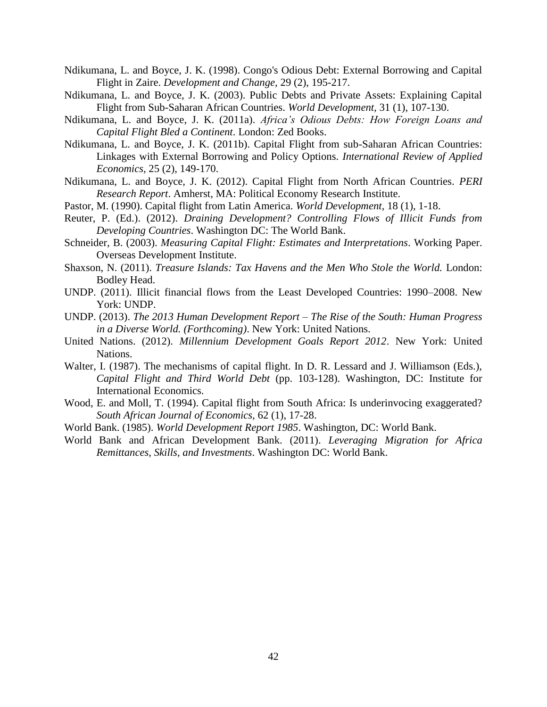- <span id="page-42-15"></span>Ndikumana, L. and Boyce, J. K. (1998). Congo's Odious Debt: External Borrowing and Capital Flight in Zaire. *Development and Change,* 29 (2), 195-217.
- <span id="page-42-1"></span>Ndikumana, L. and Boyce, J. K. (2003). Public Debts and Private Assets: Explaining Capital Flight from Sub-Saharan African Countries. *World Development,* 31 (1), 107-130.
- <span id="page-42-2"></span>Ndikumana, L. and Boyce, J. K. (2011a). *Africa's Odious Debts: How Foreign Loans and Capital Flight Bled a Continent*. London: Zed Books.
- <span id="page-42-3"></span>Ndikumana, L. and Boyce, J. K. (2011b). Capital Flight from sub-Saharan African Countries: Linkages with External Borrowing and Policy Options. *International Review of Applied Economics,* 25 (2), 149-170.
- <span id="page-42-12"></span>Ndikumana, L. and Boyce, J. K. (2012). Capital Flight from North African Countries. *PERI Research Report*. Amherst, MA: Political Economy Research Institute.
- <span id="page-42-11"></span>Pastor, M. (1990). Capital flight from Latin America. *World Development,* 18 (1), 1-18.
- <span id="page-42-7"></span>Reuter, P. (Ed.). (2012). *Draining Development? Controlling Flows of Illicit Funds from Developing Countries*. Washington DC: The World Bank.
- <span id="page-42-13"></span>Schneider, B. (2003). *Measuring Capital Flight: Estimates and Interpretations*. Working Paper. Overseas Development Institute.
- <span id="page-42-8"></span>Shaxson, N. (2011). *Treasure Islands: Tax Havens and the Men Who Stole the World.* London: Bodley Head.
- <span id="page-42-0"></span>UNDP. (2011). Illicit financial flows from the Least Developed Countries: 1990–2008. New York: UNDP.
- <span id="page-42-4"></span>UNDP. (2013). *The 2013 Human Development Report – The Rise of the South: Human Progress in a Diverse World. (Forthcoming)*. New York: United Nations.
- <span id="page-42-5"></span>United Nations. (2012). *Millennium Development Goals Report 2012*. New York: United Nations.
- <span id="page-42-14"></span>Walter, I. (1987). The mechanisms of capital flight. In D. R. Lessard and J. Williamson (Eds.), *Capital Flight and Third World Debt* (pp. 103-128). Washington, DC: Institute for International Economics.
- <span id="page-42-9"></span>Wood, E. and Moll, T. (1994). Capital flight from South Africa: Is underinvocing exaggerated? *South African Journal of Economics,* 62 (1), 17-28.
- <span id="page-42-6"></span>World Bank. (1985). *World Development Report 1985*. Washington, DC: World Bank.
- <span id="page-42-10"></span>World Bank and African Development Bank. (2011). *Leveraging Migration for Africa Remittances, Skills, and Investments*. Washington DC: World Bank.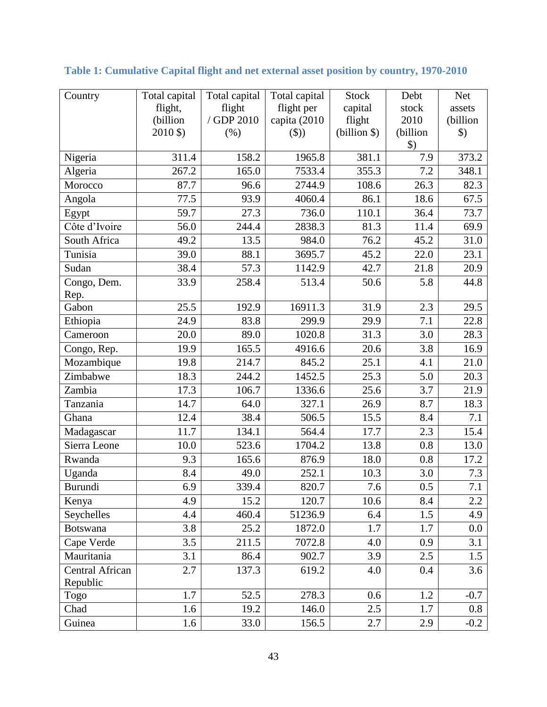| Country                     | Total capital     | Total capital | Total capital | <b>Stock</b> | Debt               | <b>Net</b>    |
|-----------------------------|-------------------|---------------|---------------|--------------|--------------------|---------------|
|                             | flight,           | flight        | flight per    | capital      | stock              | assets        |
|                             | (billion          | / GDP 2010    | capita (2010  | flight       | 2010               | (billion      |
|                             | 2010 \$)          | (% )          | $(\$))$       | (billion \$) | (billion           | $\mathcal{L}$ |
|                             |                   |               |               |              | $\boldsymbol{\$})$ |               |
| Nigeria                     | 311.4             | 158.2         | 1965.8        | 381.1        | 7.9                | 373.2         |
| Algeria                     | 267.2             | 165.0         | 7533.4        | 355.3        | 7.2                | 348.1         |
| Morocco                     | 87.7              | 96.6          | 2744.9        | 108.6        | 26.3               | 82.3          |
| Angola                      | 77.5              | 93.9          | 4060.4        | 86.1         | 18.6               | 67.5          |
| Egypt                       | 59.7              | 27.3          | 736.0         | 110.1        | 36.4               | 73.7          |
| Côte d'Ivoire               | 56.0              | 244.4         | 2838.3        | 81.3         | 11.4               | 69.9          |
| South Africa                | 49.2              | 13.5          | 984.0         | 76.2         | 45.2               | 31.0          |
| Tunisia                     | 39.0              | 88.1          | 3695.7        | 45.2         | 22.0               | 23.1          |
| Sudan                       | 38.4              | 57.3          | 1142.9        | 42.7         | 21.8               | 20.9          |
| Congo, Dem.<br>Rep.         | 33.9              | 258.4         | 513.4         | 50.6         | 5.8                | 44.8          |
| Gabon                       | 25.5              | 192.9         | 16911.3       | 31.9         | 2.3                | 29.5          |
| Ethiopia                    | 24.9              | 83.8          | 299.9         | 29.9         | 7.1                | 22.8          |
| Cameroon                    | 20.0              | 89.0          | 1020.8        | 31.3         | 3.0                | 28.3          |
| Congo, Rep.                 | 19.9              | 165.5         | 4916.6        | 20.6         | 3.8                | 16.9          |
| Mozambique                  | 19.8              | 214.7         | 845.2         | 25.1         | 4.1                | 21.0          |
| Zimbabwe                    | 18.3              | 244.2         | 1452.5        | 25.3         | 5.0                | 20.3          |
| Zambia                      | $\overline{17.3}$ | 106.7         | 1336.6        | 25.6         | 3.7                | 21.9          |
| Tanzania                    | 14.7              | 64.0          | 327.1         | 26.9         | 8.7                | 18.3          |
| Ghana                       | 12.4              | 38.4          | 506.5         | 15.5         | 8.4                | 7.1           |
| Madagascar                  | 11.7              | 134.1         | 564.4         | 17.7         | 2.3                | 15.4          |
| Sierra Leone                | 10.0              | 523.6         | 1704.2        | 13.8         | 0.8                | 13.0          |
| Rwanda                      | 9.3               | 165.6         | 876.9         | 18.0         | 0.8                | 17.2          |
| Uganda                      | 8.4               | 49.0          | 252.1         | 10.3         | 3.0                | 7.3           |
| Burundi                     | 6.9               |               | 820.7         |              |                    | 7.1           |
|                             | 4.9               | 339.4         |               | 7.6          | 0.5                | 2.2           |
| Kenya<br>Seychelles         |                   | 15.2          | 120.7         | 10.6         | 8.4                |               |
|                             | 4.4               | 460.4         | 51236.9       | 6.4          | 1.5                | 4.9           |
| <b>Botswana</b>             | 3.8               | 25.2          | 1872.0        | 1.7          | 1.7                | $0.0\,$       |
| Cape Verde                  | 3.5               | 211.5         | 7072.8        | 4.0          | 0.9                | 3.1           |
| Mauritania                  | 3.1               | 86.4          | 902.7         | 3.9          | 2.5                | 1.5           |
| Central African<br>Republic | 2.7               | 137.3         | 619.2         | 4.0          | 0.4                | 3.6           |
| Togo                        | 1.7               | 52.5          | 278.3         | 0.6          | 1.2                | $-0.7$        |
| Chad                        | 1.6               | 19.2          | 146.0         | 2.5          | 1.7                | $0.8\,$       |
| Guinea                      | 1.6               | 33.0          | 156.5         | 2.7          | 2.9                | $-0.2$        |

# **Table 1: Cumulative Capital flight and net external asset position by country, 1970-2010**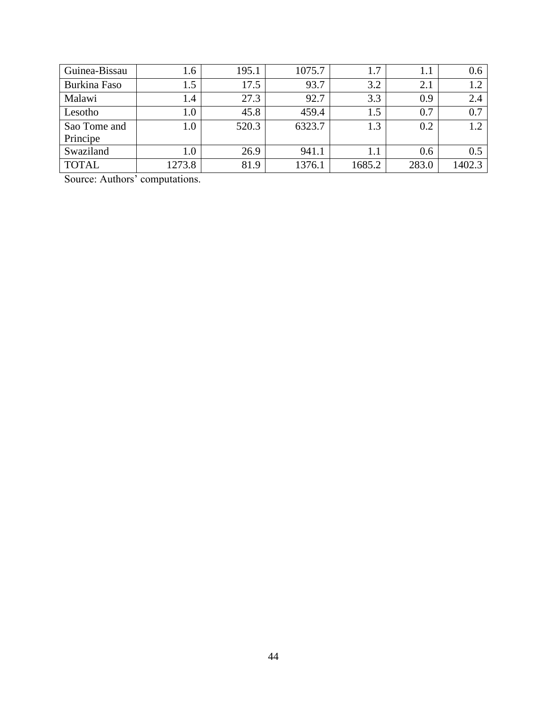| Guinea-Bissau | 1.6     | 195.1 | 1075.7 | ⇁      | 1.1   | 0.6    |
|---------------|---------|-------|--------|--------|-------|--------|
| Burkina Faso  | 1.5     | 17.5  | 93.7   | 3.2    | 2.1   |        |
| Malawi        | 1.4     | 27.3  | 92.7   | 3.3    | 0.9   | 2.4    |
| Lesotho       | $1.0\,$ | 45.8  | 459.4  |        | 0.7   | 0.7    |
| Sao Tome and  | $1.0\,$ | 520.3 | 6323.7 | 1.3    | 0.2   | 1.2    |
| Principe      |         |       |        |        |       |        |
| Swaziland     | $1.0\,$ | 26.9  | 941.1  |        | 0.6   | 0.5    |
| <b>TOTAL</b>  | 1273.8  | 81.9  | 1376.1 | 1685.2 | 283.0 | 1402.3 |

Source: Authors' computations.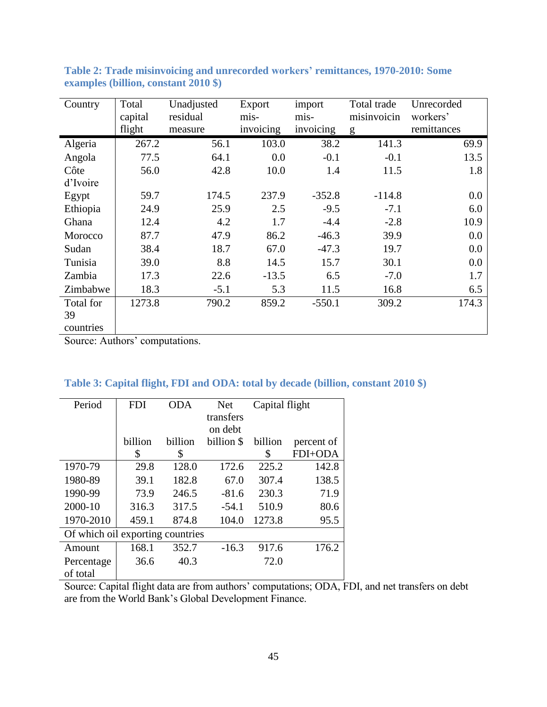| Country   | Total<br>capital | Unadjusted<br>residual | Export<br>mis- | import<br>mis- | Total trade<br>misinvoicin | Unrecorded<br>workers' |
|-----------|------------------|------------------------|----------------|----------------|----------------------------|------------------------|
|           | flight           | measure                | invoicing      | invoicing      | g                          | remittances            |
| Algeria   | 267.2            | 56.1                   | 103.0          | 38.2           | 141.3                      | 69.9                   |
| Angola    | 77.5             | 64.1                   | 0.0            | $-0.1$         | $-0.1$                     | 13.5                   |
| Côte      | 56.0             | 42.8                   | 10.0           | 1.4            | 11.5                       | 1.8                    |
| d'Ivoire  |                  |                        |                |                |                            |                        |
| Egypt     | 59.7             | 174.5                  | 237.9          | $-352.8$       | $-114.8$                   | 0.0                    |
| Ethiopia  | 24.9             | 25.9                   | 2.5            | $-9.5$         | $-7.1$                     | 6.0                    |
| Ghana     | 12.4             | 4.2                    | 1.7            | $-4.4$         | $-2.8$                     | 10.9                   |
| Morocco   | 87.7             | 47.9                   | 86.2           | $-46.3$        | 39.9                       | 0.0                    |
| Sudan     | 38.4             | 18.7                   | 67.0           | $-47.3$        | 19.7                       | 0.0                    |
| Tunisia   | 39.0             | 8.8                    | 14.5           | 15.7           | 30.1                       | 0.0                    |
| Zambia    | 17.3             | 22.6                   | $-13.5$        | 6.5            | $-7.0$                     | 1.7                    |
| Zimbabwe  | 18.3             | $-5.1$                 | 5.3            | 11.5           | 16.8                       | 6.5                    |
| Total for | 1273.8           | 790.2                  | 859.2          | $-550.1$       | 309.2                      | 174.3                  |
| 39        |                  |                        |                |                |                            |                        |
| countries |                  | $\cdot$ $\cdot$        |                |                |                            |                        |

<span id="page-45-0"></span>**Table 2: Trade misinvoicing and unrecorded workers' remittances, 1970-2010: Some examples (billion, constant 2010 \$)**

Source: Authors' computations.

| Table 3: Capital flight, FDI and ODA: total by decade (billion, constant 2010 \$)                                                                                                                                                                                                                                                  |  |  |  |  |  |
|------------------------------------------------------------------------------------------------------------------------------------------------------------------------------------------------------------------------------------------------------------------------------------------------------------------------------------|--|--|--|--|--|
| $\mathbf{D}$ $\mathbf{I}$ $\mathbf{I}$ $\mathbf{I}$ $\mathbf{I}$ $\mathbf{I}$ $\mathbf{I}$ $\mathbf{I}$ $\mathbf{I}$ $\mathbf{I}$ $\mathbf{I}$ $\mathbf{I}$ $\mathbf{I}$ $\mathbf{I}$ $\mathbf{I}$ $\mathbf{I}$ $\mathbf{I}$ $\mathbf{I}$ $\mathbf{I}$ $\mathbf{I}$ $\mathbf{I}$ $\mathbf{I}$ $\mathbf{I}$ $\mathbf{I}$ $\mathbf{$ |  |  |  |  |  |

| Period                           | FDI     | ODA     | <b>Net</b> | Capital flight |            |
|----------------------------------|---------|---------|------------|----------------|------------|
|                                  |         |         | transfers  |                |            |
|                                  |         |         | on debt    |                |            |
|                                  | billion | billion | billion \$ | billion        | percent of |
|                                  | \$      | \$      |            | \$             | FDI+ODA    |
| 1970-79                          | 29.8    | 128.0   | 172.6      | 225.2          | 142.8      |
| 1980-89                          | 39.1    | 182.8   | 67.0       | 307.4          | 138.5      |
| 1990-99                          | 73.9    | 246.5   | $-81.6$    | 230.3          | 71.9       |
| 2000-10                          | 316.3   | 317.5   | $-54.1$    | 510.9          | 80.6       |
| 1970-2010                        | 459.1   | 874.8   | 104.0      | 1273.8         | 95.5       |
| Of which oil exporting countries |         |         |            |                |            |
| Amount                           | 168.1   | 352.7   | $-16.3$    | 917.6          | 176.2      |
| Percentage                       | 36.6    | 40.3    |            | 72.0           |            |
| of total                         |         |         |            |                |            |

Source: Capital flight data are from authors' computations; ODA, FDI, and net transfers on debt are from the World Bank's Global Development Finance.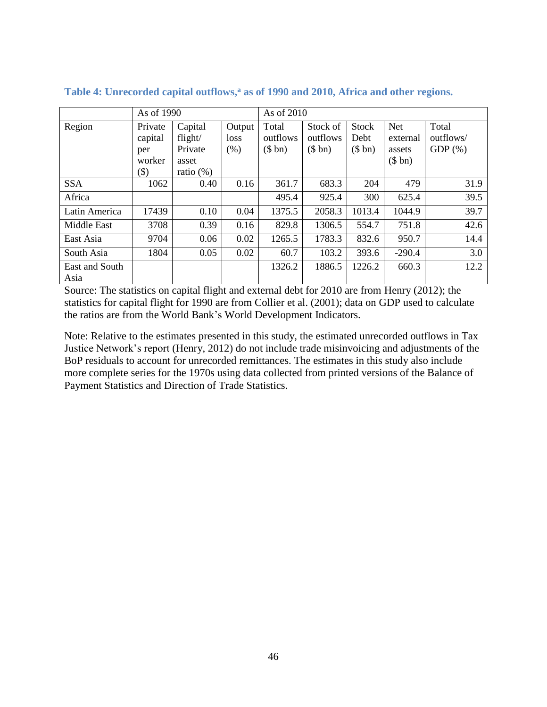|                | As of 1990 |              |        | As of 2010 |          |        |            |           |
|----------------|------------|--------------|--------|------------|----------|--------|------------|-----------|
| Region         | Private    | Capital      | Output | Total      | Stock of | Stock  | <b>Net</b> | Total     |
|                | capital    | flight/      | loss   | outflows   | outflows | Debt   | external   | outflows/ |
|                | per        | Private      | (% )   | (\$bn)     | (\$bn)   | (\$bn) | assets     | $GDP(\%)$ |
|                | worker     | asset        |        |            |          |        | (\$bn)     |           |
|                | $(\$)$     | ratio $(\%)$ |        |            |          |        |            |           |
| <b>SSA</b>     | 1062       | 0.40         | 0.16   | 361.7      | 683.3    | 204    | 479        | 31.9      |
| Africa         |            |              |        | 495.4      | 925.4    | 300    | 625.4      | 39.5      |
| Latin America  | 17439      | 0.10         | 0.04   | 1375.5     | 2058.3   | 1013.4 | 1044.9     | 39.7      |
| Middle East    | 3708       | 0.39         | 0.16   | 829.8      | 1306.5   | 554.7  | 751.8      | 42.6      |
| East Asia      | 9704       | 0.06         | 0.02   | 1265.5     | 1783.3   | 832.6  | 950.7      | 14.4      |
| South Asia     | 1804       | 0.05         | 0.02   | 60.7       | 103.2    | 393.6  | $-290.4$   | 3.0       |
| East and South |            |              |        | 1326.2     | 1886.5   | 1226.2 | 660.3      | 12.2      |
| Asia           |            |              |        |            |          |        |            |           |

**Table 4: Unrecorded capital outflows,<sup>a</sup> as of 1990 and 2010, Africa and other regions.**

Source: The statistics on capital flight and external debt for 2010 are from [Henry \(2012\)](#page-41-0); the statistics for capital flight for 1990 are from [Collier et al. \(2001\)](#page-40-1); data on GDP used to calculate the ratios are from the World Bank's World Development Indicators.

Note: Relative to the estimates presented in this study, the estimated unrecorded outflows in Tax Justice Network's report [\(Henry, 2012\)](#page-41-0) do not include trade misinvoicing and adjustments of the BoP residuals to account for unrecorded remittances. The estimates in this study also include more complete series for the 1970s using data collected from printed versions of the Balance of Payment Statistics and Direction of Trade Statistics.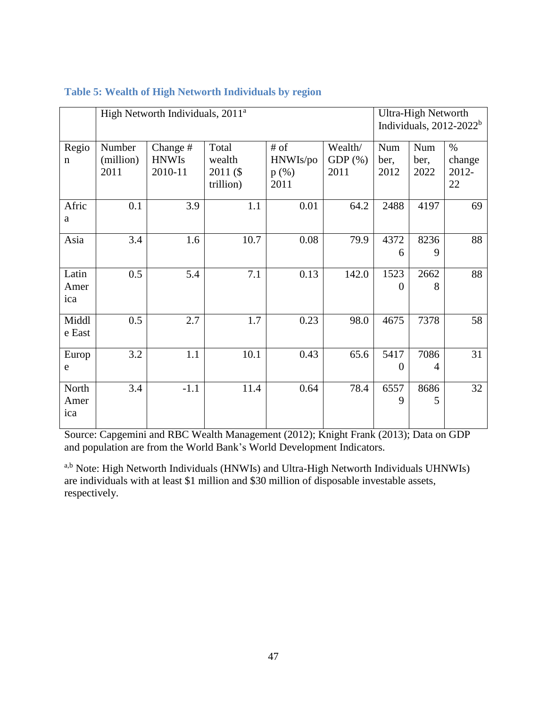|                      |                             | High Networth Individuals, 2011 <sup>a</sup> | <b>Ultra-High Networth</b><br>Individuals, $2012-2022b$ |                                       |                               |                     |                     |                               |
|----------------------|-----------------------------|----------------------------------------------|---------------------------------------------------------|---------------------------------------|-------------------------------|---------------------|---------------------|-------------------------------|
| Regio<br>$\mathbf n$ | Number<br>(million)<br>2011 | Change #<br><b>HNWIs</b><br>2010-11          | Total<br>wealth<br>2011 (\$<br>trillion)                | $#$ of<br>HNWIs/po<br>$p(\%)$<br>2011 | Wealth/<br>GDP $(\%)$<br>2011 | Num<br>ber,<br>2012 | Num<br>ber,<br>2022 | $\%$<br>change<br>2012-<br>22 |
| Afric<br>a           | 0.1                         | 3.9                                          | 1.1                                                     | 0.01                                  | 64.2                          | 2488                | 4197                | 69                            |
| Asia                 | 3.4                         | 1.6                                          | 10.7                                                    | 0.08                                  | 79.9                          | 4372<br>6           | 8236<br>9           | 88                            |
| Latin<br>Amer<br>ica | 0.5                         | 5.4                                          | 7.1                                                     | 0.13                                  | 142.0                         | 1523<br>$\Omega$    | 2662<br>8           | 88                            |
| Middl<br>e East      | 0.5                         | 2.7                                          | 1.7                                                     | 0.23                                  | 98.0                          | 4675                | 7378                | 58                            |
| Europ<br>e           | 3.2                         | 1.1                                          | 10.1                                                    | 0.43                                  | 65.6                          | 5417<br>$\Omega$    | 7086<br>4           | 31                            |
| North<br>Amer<br>ica | 3.4                         | $-1.1$                                       | 11.4                                                    | 0.64                                  | 78.4                          | 6557<br>9           | 8686<br>5           | 32                            |

# **Table 5: Wealth of High Networth Individuals by region**

Source: [Capgemini and RBC Wealth Management \(2012\)](#page-40-7); [Knight Frank \(2013\)](#page-41-10); Data on GDP and population are from the World Bank's World Development Indicators.

a,b Note: High Networth Individuals (HNWIs) and Ultra-High Networth Individuals UHNWIs) are individuals with at least \$1 million and \$30 million of disposable investable assets, respectively.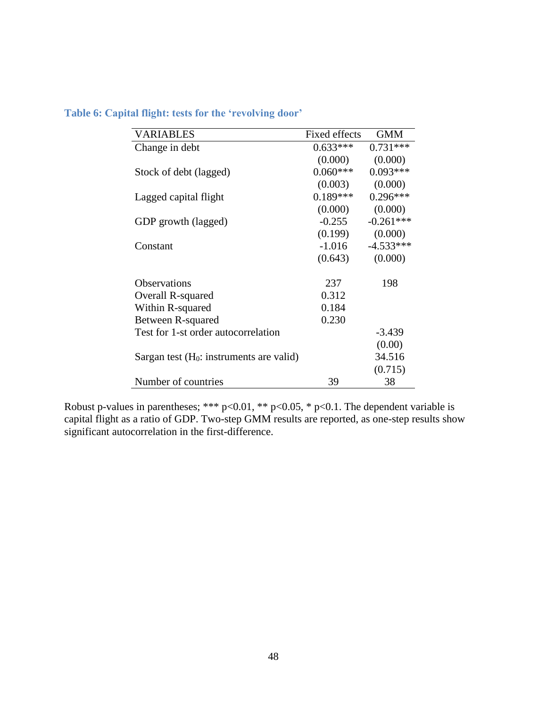| <b>VARIABLES</b>                           | Fixed effects | <b>GMM</b>  |
|--------------------------------------------|---------------|-------------|
| Change in debt                             | $0.633***$    | $0.731***$  |
|                                            | (0.000)       | (0.000)     |
| Stock of debt (lagged)                     | $0.060***$    | $0.093***$  |
|                                            | (0.003)       | (0.000)     |
| Lagged capital flight                      | $0.189***$    | $0.296***$  |
|                                            | (0.000)       | (0.000)     |
| GDP growth (lagged)                        | $-0.255$      | $-0.261***$ |
|                                            | (0.199)       | (0.000)     |
| Constant                                   | $-1.016$      | $-4.533***$ |
|                                            | (0.643)       | (0.000)     |
|                                            |               |             |
| <b>Observations</b>                        | 237           | 198         |
| Overall R-squared                          | 0.312         |             |
| Within R-squared                           | 0.184         |             |
| Between R-squared                          | 0.230         |             |
| Test for 1-st order autocorrelation        |               | $-3.439$    |
|                                            |               | (0.00)      |
| Sargan test $(H_0:$ instruments are valid) |               | 34.516      |
|                                            |               | (0.715)     |
| Number of countries                        | 39            | 38          |

# <span id="page-48-0"></span>**Table 6: Capital flight: tests for the 'revolving door'**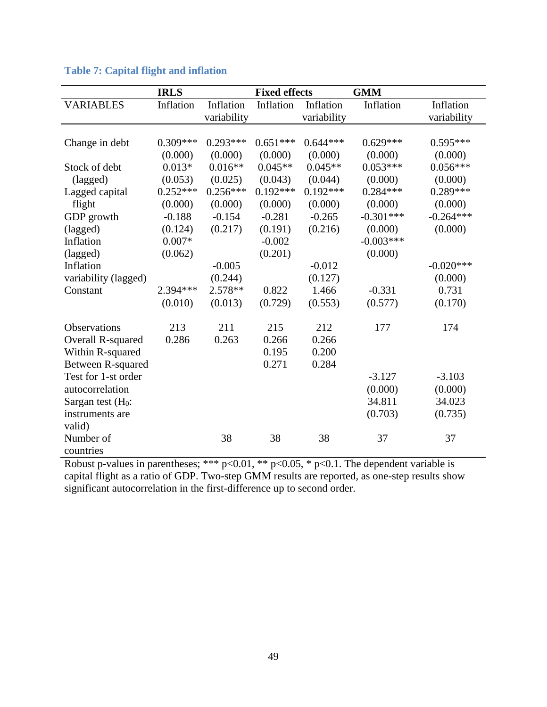|                          | <b>IRLS</b> |             | <b>Fixed effects</b> |             | <b>GMM</b>  |             |
|--------------------------|-------------|-------------|----------------------|-------------|-------------|-------------|
| <b>VARIABLES</b>         | Inflation   | Inflation   | Inflation            | Inflation   | Inflation   | Inflation   |
|                          |             | variability |                      | variability |             | variability |
|                          |             |             |                      |             |             |             |
| Change in debt           | $0.309***$  | $0.293***$  | $0.651***$           | $0.644***$  | $0.629***$  | $0.595***$  |
|                          | (0.000)     | (0.000)     | (0.000)              | (0.000)     | (0.000)     | (0.000)     |
| Stock of debt            | $0.013*$    | $0.016**$   | $0.045**$            | $0.045**$   | $0.053***$  | $0.056***$  |
| (lagged)                 | (0.053)     | (0.025)     | (0.043)              | (0.044)     | (0.000)     | (0.000)     |
| Lagged capital           | $0.252***$  | $0.256***$  | $0.192***$           | $0.192***$  | $0.284***$  | $0.289***$  |
| flight                   | (0.000)     | (0.000)     | (0.000)              | (0.000)     | (0.000)     | (0.000)     |
| GDP growth               | $-0.188$    | $-0.154$    | $-0.281$             | $-0.265$    | $-0.301***$ | $-0.264***$ |
| (lagged)                 | (0.124)     | (0.217)     | (0.191)              | (0.216)     | (0.000)     | (0.000)     |
| Inflation                | $0.007*$    |             | $-0.002$             |             | $-0.003***$ |             |
| (lagged)                 | (0.062)     |             | (0.201)              |             | (0.000)     |             |
| Inflation                |             | $-0.005$    |                      | $-0.012$    |             | $-0.020***$ |
| variability (lagged)     |             | (0.244)     |                      | (0.127)     |             | (0.000)     |
| Constant                 | 2.394 ***   | 2.578**     | 0.822                | 1.466       | $-0.331$    | 0.731       |
|                          | (0.010)     | (0.013)     | (0.729)              | (0.553)     | (0.577)     | (0.170)     |
|                          |             |             |                      |             |             |             |
| <b>Observations</b>      | 213         | 211         | 215                  | 212         | 177         | 174         |
| <b>Overall R-squared</b> | 0.286       | 0.263       | 0.266                | 0.266       |             |             |
| Within R-squared         |             |             | 0.195                | 0.200       |             |             |
| Between R-squared        |             |             | 0.271                | 0.284       |             |             |
| Test for 1-st order      |             |             |                      |             | $-3.127$    | $-3.103$    |
| autocorrelation          |             |             |                      |             | (0.000)     | (0.000)     |
| Sargan test $(H_0:$      |             |             |                      |             | 34.811      | 34.023      |
| instruments are          |             |             |                      |             | (0.703)     | (0.735)     |
| valid)                   |             |             |                      |             |             |             |
| Number of                |             | 38          | 38                   | 38          | 37          | 37          |
| countries                |             |             |                      |             |             |             |

# **Table 7: Capital flight and inflation**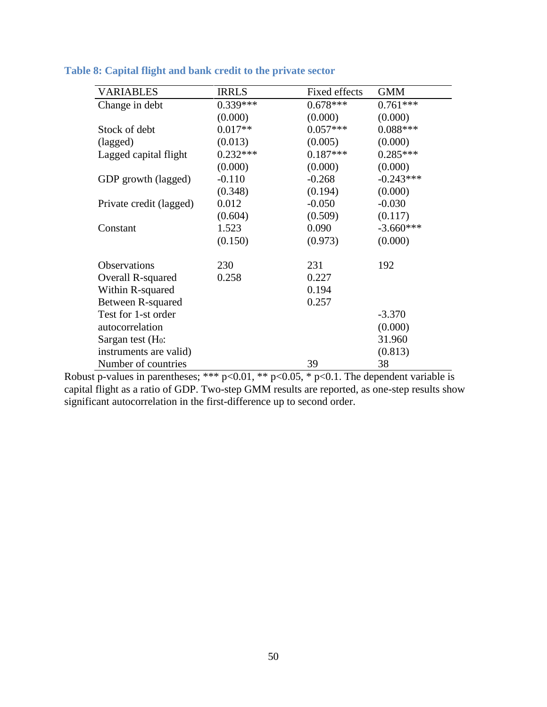| <b>VARIABLES</b>        | <b>IRRLS</b> | Fixed effects | <b>GMM</b>  |
|-------------------------|--------------|---------------|-------------|
| Change in debt          | $0.339***$   | $0.678***$    | $0.761***$  |
|                         | (0.000)      | (0.000)       | (0.000)     |
| Stock of debt           | $0.017**$    | $0.057***$    | $0.088***$  |
| (lagged)                | (0.013)      | (0.005)       | (0.000)     |
| Lagged capital flight   | $0.232***$   | $0.187***$    | $0.285***$  |
|                         | (0.000)      | (0.000)       | (0.000)     |
| GDP growth (lagged)     | $-0.110$     | $-0.268$      | $-0.243***$ |
|                         | (0.348)      | (0.194)       | (0.000)     |
| Private credit (lagged) | 0.012        | $-0.050$      | $-0.030$    |
|                         | (0.604)      | (0.509)       | (0.117)     |
| Constant                | 1.523        | 0.090         | $-3.660***$ |
|                         | (0.150)      | (0.973)       | (0.000)     |
| <b>Observations</b>     | 230          | 231           | 192         |
| Overall R-squared       | 0.258        | 0.227         |             |
| Within R-squared        |              | 0.194         |             |
| Between R-squared       |              | 0.257         |             |
| Test for 1-st order     |              |               | $-3.370$    |
| autocorrelation         |              |               | (0.000)     |
| Sargan test $(H_0:$     |              |               | 31.960      |
| instruments are valid)  |              |               | (0.813)     |
| Number of countries     |              | 39            | 38          |

# **Table 8: Capital flight and bank credit to the private sector**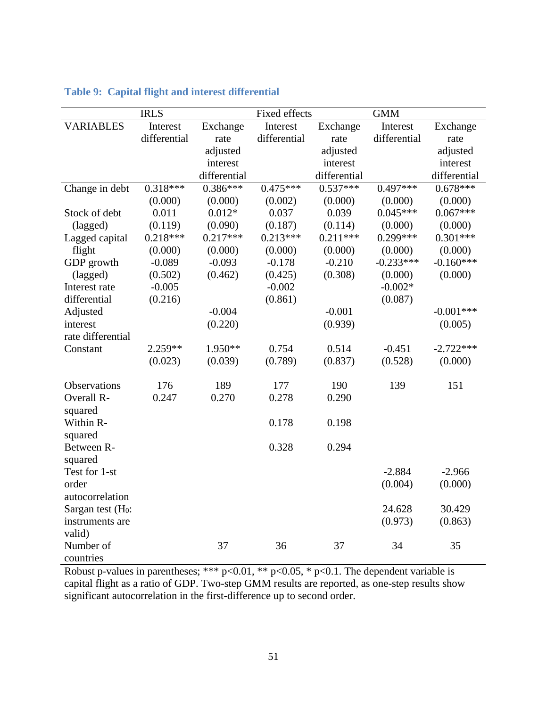|                     | <b>IRLS</b>  |              | Fixed effects |              | <b>GMM</b>   |              |
|---------------------|--------------|--------------|---------------|--------------|--------------|--------------|
| <b>VARIABLES</b>    | Interest     | Exchange     | Interest      | Exchange     | Interest     | Exchange     |
|                     | differential | rate         | differential  | rate         | differential | rate         |
|                     |              | adjusted     |               | adjusted     |              | adjusted     |
|                     |              | interest     |               | interest     |              | interest     |
|                     |              | differential |               | differential |              | differential |
| Change in debt      | $0.318***$   | $0.386***$   | $0.475***$    | $0.537***$   | $0.497***$   | $0.678***$   |
|                     | (0.000)      | (0.000)      | (0.002)       | (0.000)      | (0.000)      | (0.000)      |
| Stock of debt       | 0.011        | $0.012*$     | 0.037         | 0.039        | $0.045***$   | $0.067***$   |
| (lagged)            | (0.119)      | (0.090)      | (0.187)       | (0.114)      | (0.000)      | (0.000)      |
| Lagged capital      | $0.218***$   | $0.217***$   | $0.213***$    | $0.211***$   | $0.299***$   | $0.301***$   |
| flight              | (0.000)      | (0.000)      | (0.000)       | (0.000)      | (0.000)      | (0.000)      |
| GDP growth          | $-0.089$     | $-0.093$     | $-0.178$      | $-0.210$     | $-0.233***$  | $-0.160***$  |
| (lagged)            | (0.502)      | (0.462)      | (0.425)       | (0.308)      | (0.000)      | (0.000)      |
| Interest rate       | $-0.005$     |              | $-0.002$      |              | $-0.002*$    |              |
| differential        | (0.216)      |              | (0.861)       |              | (0.087)      |              |
| Adjusted            |              | $-0.004$     |               | $-0.001$     |              | $-0.001***$  |
| interest            |              | (0.220)      |               | (0.939)      |              | (0.005)      |
| rate differential   |              |              |               |              |              |              |
| Constant            | $2.259**$    | 1.950**      | 0.754         | 0.514        | $-0.451$     | $-2.722***$  |
|                     | (0.023)      | (0.039)      | (0.789)       | (0.837)      | (0.528)      | (0.000)      |
|                     |              |              |               |              |              |              |
| Observations        | 176          | 189          | 177           | 190          | 139          | 151          |
| Overall R-          | 0.247        | 0.270        | 0.278         | 0.290        |              |              |
| squared             |              |              |               |              |              |              |
| Within R-           |              |              | 0.178         | 0.198        |              |              |
| squared             |              |              |               |              |              |              |
| Between R-          |              |              | 0.328         | 0.294        |              |              |
| squared             |              |              |               |              |              |              |
| Test for 1-st       |              |              |               |              | $-2.884$     | $-2.966$     |
| order               |              |              |               |              | (0.004)      | (0.000)      |
| autocorrelation     |              |              |               |              |              |              |
| Sargan test $(H_0:$ |              |              |               |              | 24.628       | 30.429       |
| instruments are     |              |              |               |              | (0.973)      | (0.863)      |
| valid)              |              | 37           | 36            |              |              |              |
| Number of           |              |              |               | 37           | 34           | 35           |
| countries           |              |              |               |              |              |              |

# **Table 9: Capital flight and interest differential**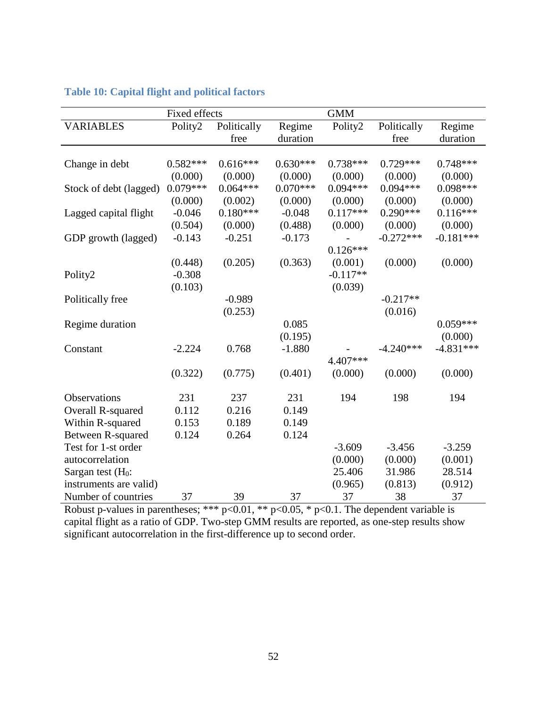|                        | Fixed effects |             |            | <b>GMM</b> |             |             |
|------------------------|---------------|-------------|------------|------------|-------------|-------------|
| <b>VARIABLES</b>       | Polity2       | Politically | Regime     | Polity2    | Politically | Regime      |
|                        |               | free        | duration   |            | free        | duration    |
|                        |               |             |            |            |             |             |
| Change in debt         | $0.582***$    | $0.616***$  | $0.630***$ | $0.738***$ | $0.729***$  | $0.748***$  |
|                        | (0.000)       | (0.000)     | (0.000)    | (0.000)    | (0.000)     | (0.000)     |
| Stock of debt (lagged) | $0.079***$    | $0.064***$  | $0.070***$ | $0.094***$ | $0.094***$  | $0.098***$  |
|                        | (0.000)       | (0.002)     | (0.000)    | (0.000)    | (0.000)     | (0.000)     |
| Lagged capital flight  | $-0.046$      | $0.180***$  | $-0.048$   | $0.117***$ | $0.290***$  | $0.116***$  |
|                        | (0.504)       | (0.000)     | (0.488)    | (0.000)    | (0.000)     | (0.000)     |
| GDP growth (lagged)    | $-0.143$      | $-0.251$    | $-0.173$   |            | $-0.272***$ | $-0.181***$ |
|                        |               |             |            | $0.126***$ |             |             |
|                        | (0.448)       | (0.205)     | (0.363)    | (0.001)    | (0.000)     | (0.000)     |
| Polity2                | $-0.308$      |             |            | $-0.117**$ |             |             |
|                        | (0.103)       |             |            | (0.039)    |             |             |
| Politically free       |               | $-0.989$    |            |            | $-0.217**$  |             |
|                        |               | (0.253)     |            |            | (0.016)     |             |
| Regime duration        |               |             | 0.085      |            |             | $0.059***$  |
|                        |               |             | (0.195)    |            |             | (0.000)     |
| Constant               | $-2.224$      | 0.768       | $-1.880$   |            | $-4.240***$ | $-4.831***$ |
|                        |               |             |            | 4.407***   |             |             |
|                        | (0.322)       | (0.775)     | (0.401)    | (0.000)    | (0.000)     | (0.000)     |
| <b>Observations</b>    | 231           | 237         | 231        | 194        | 198         | 194         |
| Overall R-squared      | 0.112         | 0.216       | 0.149      |            |             |             |
| Within R-squared       | 0.153         | 0.189       | 0.149      |            |             |             |
| Between R-squared      | 0.124         | 0.264       | 0.124      |            |             |             |
| Test for 1-st order    |               |             |            | $-3.609$   | $-3.456$    | $-3.259$    |
| autocorrelation        |               |             |            | (0.000)    | (0.000)     | (0.001)     |
| Sargan test $(H_0:$    |               |             |            | 25.406     | 31.986      | 28.514      |
| instruments are valid) |               |             |            | (0.965)    | (0.813)     | (0.912)     |
| Number of countries    | 37            | 39          | 37         | 37         | 38          | 37          |

# **Table 10: Capital flight and political factors**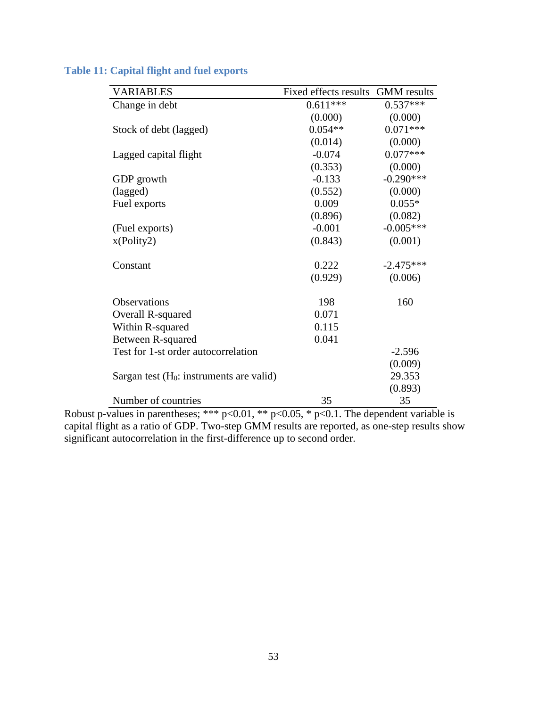| <b>VARIABLES</b>                           | Fixed effects results | <b>GMM</b> results |
|--------------------------------------------|-----------------------|--------------------|
| Change in debt                             | $0.611***$            | $0.537***$         |
|                                            | (0.000)               | (0.000)            |
| Stock of debt (lagged)                     | $0.054**$             | $0.071***$         |
|                                            | (0.014)               | (0.000)            |
| Lagged capital flight                      | $-0.074$              | $0.077***$         |
|                                            | (0.353)               | (0.000)            |
| GDP growth                                 | $-0.133$              | $-0.290***$        |
| (lagged)                                   | (0.552)               | (0.000)            |
| Fuel exports                               | 0.009                 | $0.055*$           |
|                                            | (0.896)               | (0.082)            |
| (Fuel exports)                             | $-0.001$              | $-0.005***$        |
| x(Polity2)                                 | (0.843)               | (0.001)            |
| Constant                                   | 0.222                 | $-2.475***$        |
|                                            | (0.929)               | (0.006)            |
| <b>Observations</b>                        | 198                   | 160                |
| Overall R-squared                          | 0.071                 |                    |
| Within R-squared                           | 0.115                 |                    |
| Between R-squared                          | 0.041                 |                    |
| Test for 1-st order autocorrelation        |                       | $-2.596$           |
|                                            |                       | (0.009)            |
| Sargan test $(H_0:$ instruments are valid) |                       | 29.353             |
|                                            |                       | (0.893)            |
| Number of countries                        | 35                    | 35                 |

# <span id="page-53-0"></span>**Table 11: Capital flight and fuel exports**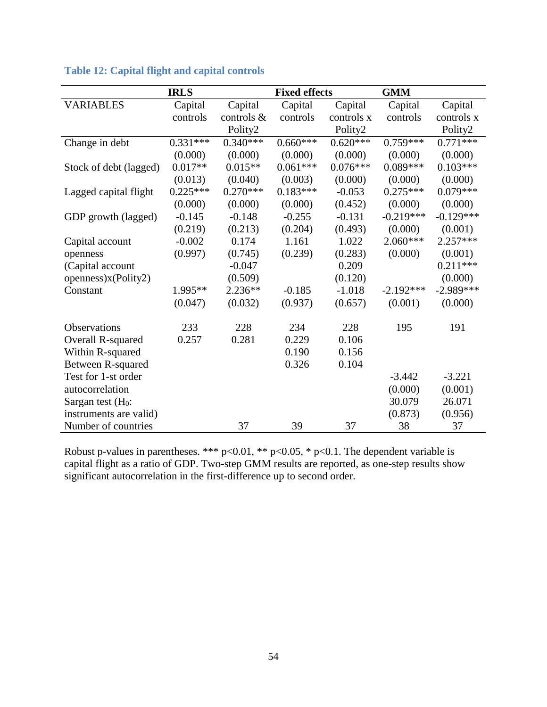|                        | <b>IRLS</b> |               | <b>Fixed effects</b> |            | <b>GMM</b>  |             |
|------------------------|-------------|---------------|----------------------|------------|-------------|-------------|
| <b>VARIABLES</b>       | Capital     | Capital       | Capital              | Capital    | Capital     | Capital     |
|                        | controls    | controls $\&$ | controls             | controls x | controls    | controls x  |
|                        |             | Polity2       |                      | Polity2    |             | Polity2     |
| Change in debt         | $0.331***$  | $0.340***$    | $0.660***$           | $0.620***$ | $0.759***$  | $0.771***$  |
|                        | (0.000)     | (0.000)       | (0.000)              | (0.000)    | (0.000)     | (0.000)     |
| Stock of debt (lagged) | $0.017**$   | $0.015**$     | $0.061***$           | $0.076***$ | $0.089***$  | $0.103***$  |
|                        | (0.013)     | (0.040)       | (0.003)              | (0.000)    | (0.000)     | (0.000)     |
| Lagged capital flight  | $0.225***$  | $0.270***$    | $0.183***$           | $-0.053$   | $0.275***$  | $0.079***$  |
|                        | (0.000)     | (0.000)       | (0.000)              | (0.452)    | (0.000)     | (0.000)     |
| GDP growth (lagged)    | $-0.145$    | $-0.148$      | $-0.255$             | $-0.131$   | $-0.219***$ | $-0.129***$ |
|                        | (0.219)     | (0.213)       | (0.204)              | (0.493)    | (0.000)     | (0.001)     |
| Capital account        | $-0.002$    | 0.174         | 1.161                | 1.022      | $2.060***$  | $2.257***$  |
| openness               | (0.997)     | (0.745)       | (0.239)              | (0.283)    | (0.000)     | (0.001)     |
| (Capital account       |             | $-0.047$      |                      | 0.209      |             | $0.211***$  |
| openness)x(Polity2)    |             | (0.509)       |                      | (0.120)    |             | (0.000)     |
| Constant               | 1.995**     | $2.236**$     | $-0.185$             | $-1.018$   | $-2.192***$ | $-2.989***$ |
|                        | (0.047)     | (0.032)       | (0.937)              | (0.657)    | (0.001)     | (0.000)     |
| Observations           | 233         | 228           | 234                  | 228        | 195         | 191         |
| Overall R-squared      | 0.257       | 0.281         | 0.229                | 0.106      |             |             |
| Within R-squared       |             |               | 0.190                | 0.156      |             |             |
| Between R-squared      |             |               | 0.326                | 0.104      |             |             |
| Test for 1-st order    |             |               |                      |            | $-3.442$    | $-3.221$    |
| autocorrelation        |             |               |                      |            | (0.000)     | (0.001)     |
| Sargan test $(H_0:$    |             |               |                      |            | 30.079      | 26.071      |
| instruments are valid) |             |               |                      |            | (0.873)     | (0.956)     |
| Number of countries    |             | 37            | 39                   | 37         | 38          | 37          |

# <span id="page-54-0"></span>**Table 12: Capital flight and capital controls**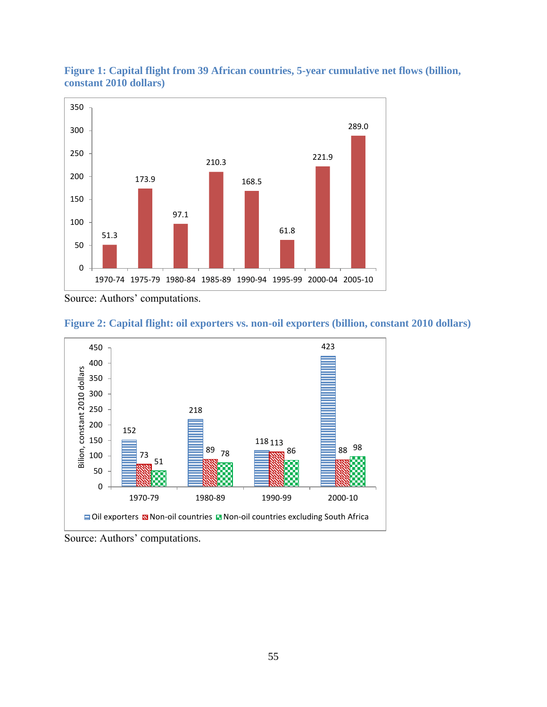

<span id="page-55-0"></span>**Figure 1: Capital flight from 39 African countries, 5-year cumulative net flows (billion, constant 2010 dollars)**

Source: Authors' computations.





Source: Authors' computations.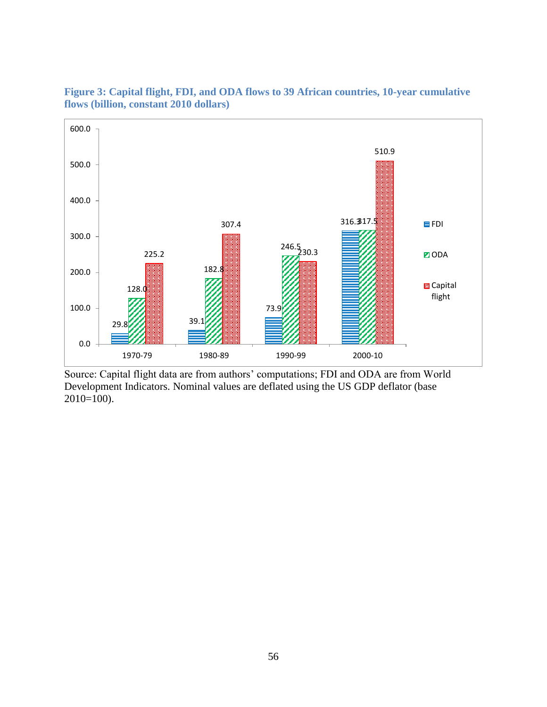

**Figure 3: Capital flight, FDI, and ODA flows to 39 African countries, 10-year cumulative flows (billion, constant 2010 dollars)**

Source: Capital flight data are from authors' computations; FDI and ODA are from World Development Indicators. Nominal values are deflated using the US GDP deflator (base  $2010=100$ ).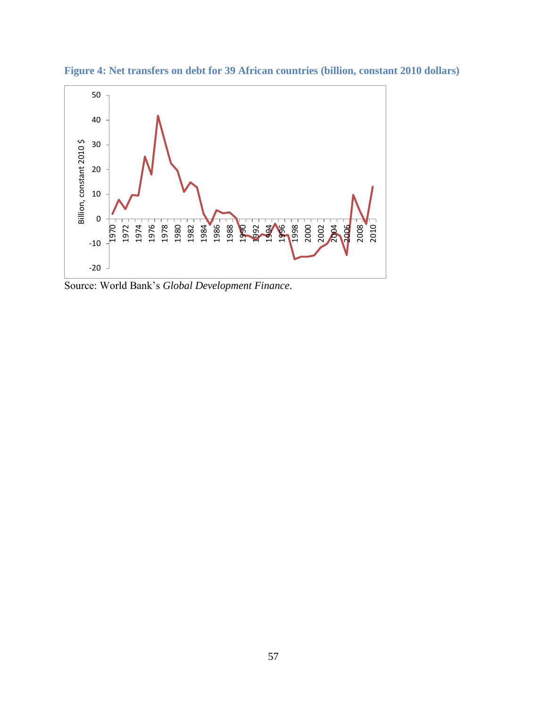

**Figure 4: Net transfers on debt for 39 African countries (billion, constant 2010 dollars)**

Source: World Bank's *Global Development Finance*.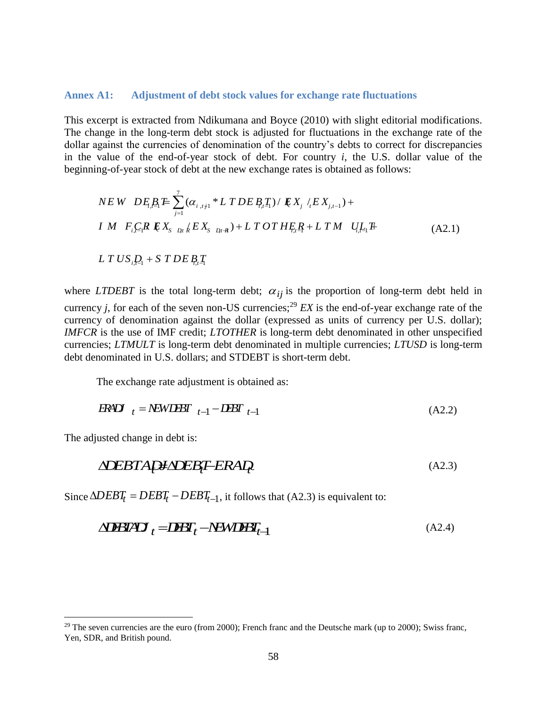#### **Annex A1: Adjustment of debt stock values for exchange rate fluctuations**

This excerpt is extracted from Ndikumana and Boyce (2010) with slight editorial modifications. The change in the long-term debt stock is adjusted for fluctuations in the exchange rate of the dollar against the currencies of denomination of the country's debts to correct for discrepancies in the value of the end-of-year stock of debt. For country *i*, the U.S. dollar value of the beginning-of-year stock of debt at the new exchange rates is obtained as follows:

$$
NEW \t DE_i B_i E \sum_{j=1}^{7} (\alpha_{i,tj1} * L \t TDE B_i T_i) / E X_j / E X_{j,t-1}) +
$$
  
\n
$$
IM \t F_i C_i R \t E X_{S \t D_i t} / E X_{S \t D_i t} + L \t T \t OT H E_i R + L \t TM \t U_i L_i F
$$
  
\n
$$
LT \t US_i D_i + S \t T DE B_i T_i
$$
\n(A2.1)

where *LTDEBT* is the total long-term debt;  $\alpha_{ij}$  is the proportion of long-term debt held in currency *j*, for each of the seven non-US currencies;<sup>29</sup> *EX* is the end-of-year exchange rate of the currency of denomination against the dollar (expressed as units of currency per U.S. dollar); *IMFCR* is the use of IMF credit; *LTOTHER* is long-term debt denominated in other unspecified currencies; *LTMULT* is long-term debt denominated in multiple currencies; *LTUSD* is long-term debt denominated in U.S. dollars; and STDEBT is short-term debt.

The exchange rate adjustment is obtained as:

$$
F X D I_{t} = N E W D E I_{t-1} - D E I_{t-1}
$$
\n(A2.2)

The adjusted change in debt is:

 $\overline{a}$ 

$$
\Delta \text{DEBTAP} \neq \text{DEBF-ERAP} \tag{A2.3}
$$

Since  $\triangle DEBT_t = DEBT_t - DEBT_{t-1}$ , it follows that (A2.3) is equivalent to:

$$
\Delta \mathbf{DBI} \mathbf{A} \mathbf{D}_{t} = \mathbf{DBF}_{t} - \mathbf{N} \mathbf{C} \mathbf{WI} \mathbf{B} \mathbf{F}_{t-1}
$$
\n(A2.4)

<sup>&</sup>lt;sup>29</sup> The seven currencies are the euro (from 2000); French franc and the Deutsche mark (up to 2000); Swiss franc, Yen, SDR, and British pound.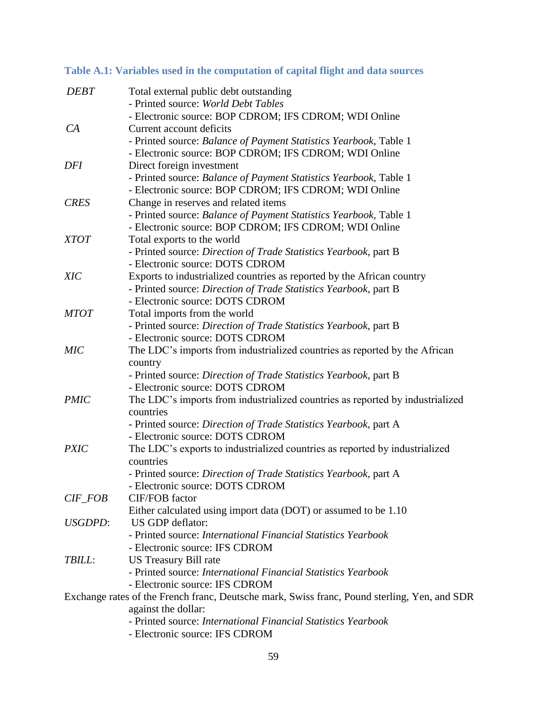| <b>DEBT</b>     | Total external public debt outstanding                                                              |
|-----------------|-----------------------------------------------------------------------------------------------------|
|                 | - Printed source: World Debt Tables                                                                 |
|                 | - Electronic source: BOP CDROM; IFS CDROM; WDI Online                                               |
| CA              | Current account deficits                                                                            |
|                 | - Printed source: Balance of Payment Statistics Yearbook, Table 1                                   |
|                 | - Electronic source: BOP CDROM; IFS CDROM; WDI Online                                               |
| DFI             | Direct foreign investment                                                                           |
|                 | - Printed source: Balance of Payment Statistics Yearbook, Table 1                                   |
|                 | - Electronic source: BOP CDROM; IFS CDROM; WDI Online                                               |
| <b>CRES</b>     | Change in reserves and related items                                                                |
|                 | - Printed source: Balance of Payment Statistics Yearbook, Table 1                                   |
|                 | - Electronic source: BOP CDROM; IFS CDROM; WDI Online                                               |
| <b>XTOT</b>     | Total exports to the world                                                                          |
|                 | - Printed source: Direction of Trade Statistics Yearbook, part B                                    |
|                 | - Electronic source: DOTS CDROM                                                                     |
| <b>XIC</b>      | Exports to industrialized countries as reported by the African country                              |
|                 | - Printed source: Direction of Trade Statistics Yearbook, part B<br>- Electronic source: DOTS CDROM |
| <b>MTOT</b>     |                                                                                                     |
|                 | Total imports from the world<br>- Printed source: Direction of Trade Statistics Yearbook, part B    |
|                 | - Electronic source: DOTS CDROM                                                                     |
| <b>MIC</b>      | The LDC's imports from industrialized countries as reported by the African                          |
|                 | country                                                                                             |
|                 | - Printed source: Direction of Trade Statistics Yearbook, part B                                    |
|                 | - Electronic source: DOTS CDROM                                                                     |
| <b>PMIC</b>     | The LDC's imports from industrialized countries as reported by industrialized                       |
|                 | countries                                                                                           |
|                 | - Printed source: Direction of Trade Statistics Yearbook, part A                                    |
|                 | - Electronic source: DOTS CDROM                                                                     |
| <b>PXIC</b>     | The LDC's exports to industrialized countries as reported by industrialized                         |
|                 | countries                                                                                           |
|                 | - Printed source: Direction of Trade Statistics Yearbook, part A                                    |
|                 | - Electronic source: DOTS CDROM                                                                     |
| $CIF\_FOB$      | <b>CIF/FOB</b> factor                                                                               |
|                 | Either calculated using import data (DOT) or assumed to be 1.10                                     |
| <i>USGDPD</i> : | US GDP deflator:                                                                                    |
|                 | - Printed source: International Financial Statistics Yearbook                                       |
|                 | - Electronic source: IFS CDROM                                                                      |
| TBILL:          | <b>US Treasury Bill rate</b>                                                                        |
|                 | - Printed source: International Financial Statistics Yearbook                                       |
|                 | - Electronic source: IFS CDROM                                                                      |
|                 | Exchange rates of the French franc, Deutsche mark, Swiss franc, Pound sterling, Yen, and SDR        |
|                 | against the dollar:                                                                                 |
|                 | - Printed source: International Financial Statistics Yearbook                                       |
|                 | - Electronic source: IFS CDROM                                                                      |

# **Table A.1: Variables used in the computation of capital flight and data sources**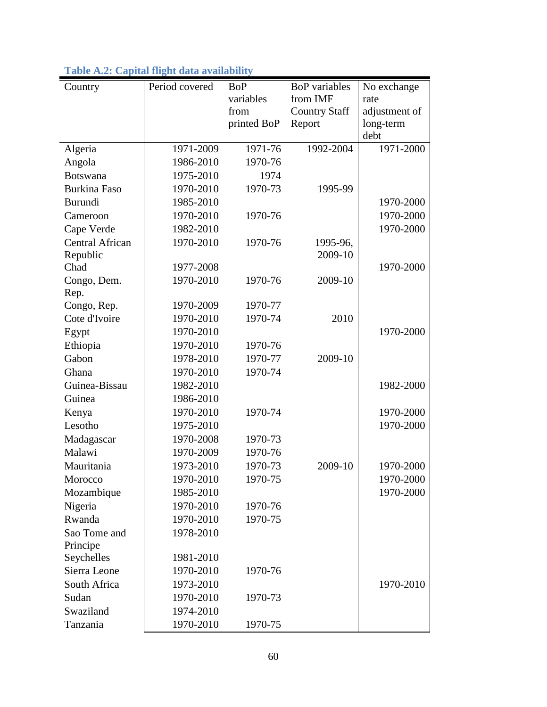| Country                | Period covered | <b>BoP</b>  | <b>BoP</b> variables | No exchange   |
|------------------------|----------------|-------------|----------------------|---------------|
|                        |                | variables   | from IMF             | rate          |
|                        |                | from        | <b>Country Staff</b> | adjustment of |
|                        |                | printed BoP | Report               | long-term     |
|                        |                |             |                      | debt          |
| Algeria                | 1971-2009      | 1971-76     | 1992-2004            | 1971-2000     |
| Angola                 | 1986-2010      | 1970-76     |                      |               |
| <b>Botswana</b>        | 1975-2010      | 1974        |                      |               |
| <b>Burkina Faso</b>    | 1970-2010      | 1970-73     | 1995-99              |               |
| Burundi                | 1985-2010      |             |                      | 1970-2000     |
| Cameroon               | 1970-2010      | 1970-76     |                      | 1970-2000     |
| Cape Verde             | 1982-2010      |             |                      | 1970-2000     |
| <b>Central African</b> | 1970-2010      | 1970-76     | 1995-96,             |               |
| Republic               |                |             | 2009-10              |               |
| Chad                   | 1977-2008      |             |                      | 1970-2000     |
| Congo, Dem.            | 1970-2010      | 1970-76     | 2009-10              |               |
| Rep.                   |                |             |                      |               |
| Congo, Rep.            | 1970-2009      | 1970-77     |                      |               |
| Cote d'Ivoire          | 1970-2010      | 1970-74     | 2010                 |               |
| Egypt                  | 1970-2010      |             |                      | 1970-2000     |
| Ethiopia               | 1970-2010      | 1970-76     |                      |               |
| Gabon                  | 1978-2010      | 1970-77     | 2009-10              |               |
| Ghana                  | 1970-2010      | 1970-74     |                      |               |
| Guinea-Bissau          | 1982-2010      |             |                      | 1982-2000     |
| Guinea                 | 1986-2010      |             |                      |               |
| Kenya                  | 1970-2010      | 1970-74     |                      | 1970-2000     |
| Lesotho                | 1975-2010      |             |                      | 1970-2000     |
| Madagascar             | 1970-2008      | 1970-73     |                      |               |
| Malawi                 | 1970-2009      | 1970-76     |                      |               |
| Mauritania             | 1973-2010      | 1970-73     | 2009-10              | 1970-2000     |
| Morocco                | 1970-2010      | 1970-75     |                      | 1970-2000     |
| Mozambique             | 1985-2010      |             |                      | 1970-2000     |
| Nigeria                | 1970-2010      | 1970-76     |                      |               |
| Rwanda                 | 1970-2010      | 1970-75     |                      |               |
| Sao Tome and           | 1978-2010      |             |                      |               |
| Principe               |                |             |                      |               |
| Seychelles             | 1981-2010      |             |                      |               |
| Sierra Leone           | 1970-2010      | 1970-76     |                      |               |
| South Africa           | 1973-2010      |             |                      | 1970-2010     |
| Sudan                  | 1970-2010      | 1970-73     |                      |               |
| Swaziland              | 1974-2010      |             |                      |               |
| Tanzania               | 1970-2010      | 1970-75     |                      |               |

|  |  | Table A.2: Capital flight data availability |
|--|--|---------------------------------------------|
|  |  |                                             |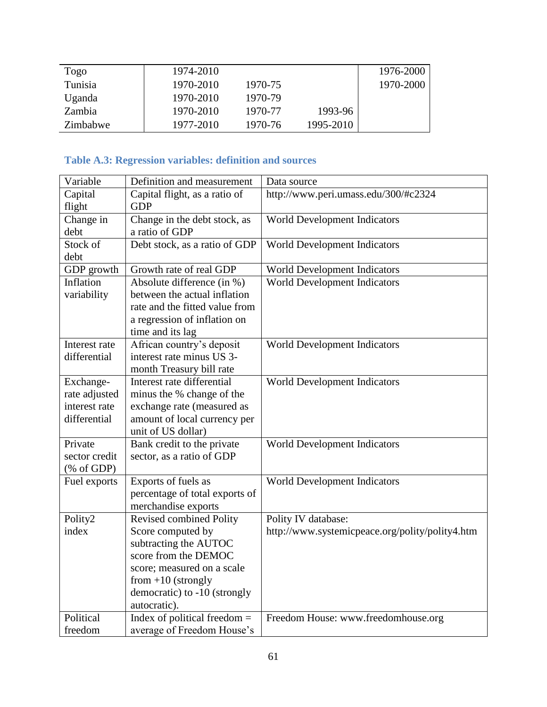| Togo     | 1974-2010 |         |           | 1976-2000 |
|----------|-----------|---------|-----------|-----------|
| Tunisia  | 1970-2010 | 1970-75 |           | 1970-2000 |
| Uganda   | 1970-2010 | 1970-79 |           |           |
| Zambia   | 1970-2010 | 1970-77 | 1993-96   |           |
| Zimbabwe | 1977-2010 | 1970-76 | 1995-2010 |           |

# **Table A.3: Regression variables: definition and sources**

| Variable      | Definition and measurement     | Data source                                     |
|---------------|--------------------------------|-------------------------------------------------|
| Capital       | Capital flight, as a ratio of  | http://www.peri.umass.edu/300/#c2324            |
| flight        | <b>GDP</b>                     |                                                 |
| Change in     | Change in the debt stock, as   | World Development Indicators                    |
| debt          | a ratio of GDP                 |                                                 |
| Stock of      | Debt stock, as a ratio of GDP  | World Development Indicators                    |
| debt          |                                |                                                 |
| GDP growth    | Growth rate of real GDP        | World Development Indicators                    |
| Inflation     | Absolute difference (in %)     | World Development Indicators                    |
| variability   | between the actual inflation   |                                                 |
|               | rate and the fitted value from |                                                 |
|               | a regression of inflation on   |                                                 |
|               | time and its lag               |                                                 |
| Interest rate | African country's deposit      | World Development Indicators                    |
| differential  | interest rate minus US 3-      |                                                 |
|               | month Treasury bill rate       |                                                 |
| Exchange-     | Interest rate differential     | World Development Indicators                    |
| rate adjusted | minus the % change of the      |                                                 |
| interest rate | exchange rate (measured as     |                                                 |
| differential  | amount of local currency per   |                                                 |
|               | unit of US dollar)             |                                                 |
| Private       | Bank credit to the private     | World Development Indicators                    |
| sector credit | sector, as a ratio of GDP      |                                                 |
| (% of GDP)    |                                |                                                 |
| Fuel exports  | Exports of fuels as            | World Development Indicators                    |
|               | percentage of total exports of |                                                 |
|               | merchandise exports            |                                                 |
| Polity2       | Revised combined Polity        | Polity IV database:                             |
| index         | Score computed by              | http://www.systemicpeace.org/polity/polity4.htm |
|               | subtracting the AUTOC          |                                                 |
|               | score from the DEMOC           |                                                 |
|               | score; measured on a scale     |                                                 |
|               | from $+10$ (strongly           |                                                 |
|               | democratic) to -10 (strongly   |                                                 |
|               | autocratic).                   |                                                 |
| Political     | Index of political freedom $=$ | Freedom House: www.freedomhouse.org             |
| freedom       | average of Freedom House's     |                                                 |